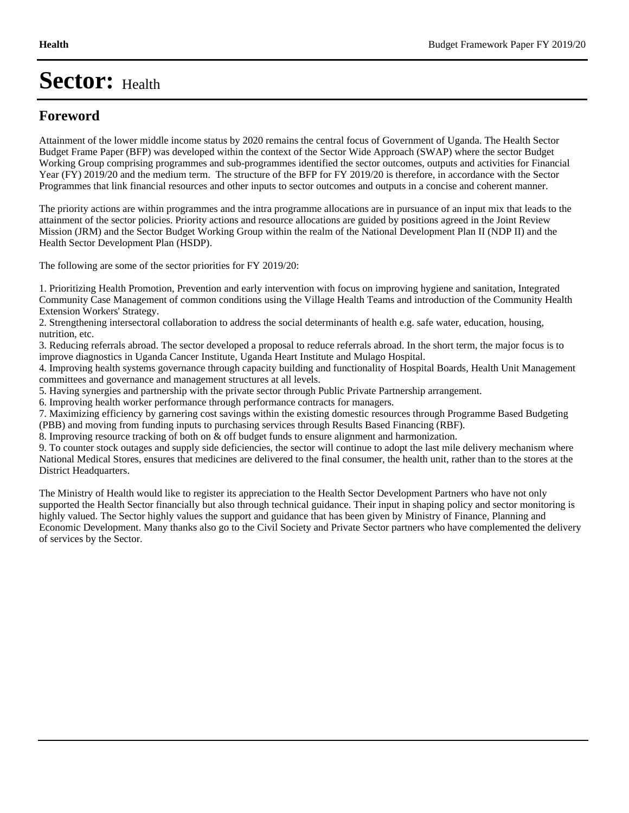### **Foreword**

Attainment of the lower middle income status by 2020 remains the central focus of Government of Uganda. The Health Sector Budget Frame Paper (BFP) was developed within the context of the Sector Wide Approach (SWAP) where the sector Budget Working Group comprising programmes and sub-programmes identified the sector outcomes, outputs and activities for Financial Year (FY) 2019/20 and the medium term. The structure of the BFP for FY 2019/20 is therefore, in accordance with the Sector Programmes that link financial resources and other inputs to sector outcomes and outputs in a concise and coherent manner.

The priority actions are within programmes and the intra programme allocations are in pursuance of an input mix that leads to the attainment of the sector policies. Priority actions and resource allocations are guided by positions agreed in the Joint Review Mission (JRM) and the Sector Budget Working Group within the realm of the National Development Plan II (NDP II) and the Health Sector Development Plan (HSDP).

The following are some of the sector priorities for FY 2019/20:

1. Prioritizing Health Promotion, Prevention and early intervention with focus on improving hygiene and sanitation, Integrated Community Case Management of common conditions using the Village Health Teams and introduction of the Community Health Extension Workers' Strategy.

2. Strengthening intersectoral collaboration to address the social determinants of health e.g. safe water, education, housing, nutrition, etc.

3. Reducing referrals abroad. The sector developed a proposal to reduce referrals abroad. In the short term, the major focus is to improve diagnostics in Uganda Cancer Institute, Uganda Heart Institute and Mulago Hospital.

4. Improving health systems governance through capacity building and functionality of Hospital Boards, Health Unit Management committees and governance and management structures at all levels.

5. Having synergies and partnership with the private sector through Public Private Partnership arrangement.

6. Improving health worker performance through performance contracts for managers.

7. Maximizing efficiency by garnering cost savings within the existing domestic resources through Programme Based Budgeting (PBB) and moving from funding inputs to purchasing services through Results Based Financing (RBF).

8. Improving resource tracking of both on & off budget funds to ensure alignment and harmonization.

9. To counter stock outages and supply side deficiencies, the sector will continue to adopt the last mile delivery mechanism where National Medical Stores, ensures that medicines are delivered to the final consumer, the health unit, rather than to the stores at the District Headquarters.

The Ministry of Health would like to register its appreciation to the Health Sector Development Partners who have not only supported the Health Sector financially but also through technical guidance. Their input in shaping policy and sector monitoring is highly valued. The Sector highly values the support and guidance that has been given by Ministry of Finance, Planning and Economic Development. Many thanks also go to the Civil Society and Private Sector partners who have complemented the delivery of services by the Sector.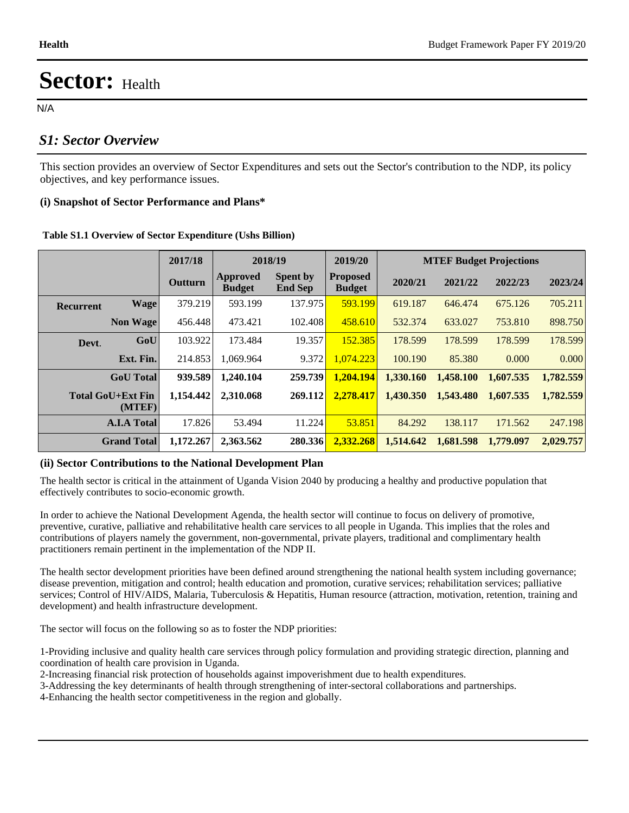N/A

#### *S1: Sector Overview*

This section provides an overview of Sector Expenditures and sets out the Sector's contribution to the NDP, its policy objectives, and key performance issues.

#### **(i) Snapshot of Sector Performance and Plans\***

|                  |                                    | 2017/18   |                           | 2018/19                           | 2019/20                          |           |           | <b>MTEF Budget Projections</b> |           |
|------------------|------------------------------------|-----------|---------------------------|-----------------------------------|----------------------------------|-----------|-----------|--------------------------------|-----------|
|                  |                                    | Outturn   | Approved<br><b>Budget</b> | <b>Spent by</b><br><b>End Sep</b> | <b>Proposed</b><br><b>Budget</b> | 2020/21   | 2021/22   | 2022/23                        | 2023/24   |
| <b>Recurrent</b> | <b>Wage</b>                        | 379.219   | 593.199                   | 137.975                           | 593.199                          | 619.187   | 646.474   | 675.126                        | 705.211   |
|                  | <b>Non Wage</b>                    | 456.448   | 473.421                   | 102.408                           | 458.610                          | 532.374   | 633.027   | 753.810                        | 898.750   |
| Devt.            | GoU                                | 103.922   | 173.484                   | 19.357                            | 152.385                          | 178.599   | 178.599   | 178.599                        | 178.599   |
|                  | Ext. Fin.                          | 214.853   | 1.069.964                 | 9.372                             | 1.074.223                        | 100.190   | 85.380    | 0.000                          | 0.000     |
|                  | <b>GoU</b> Total                   | 939.589   | 1,240.104                 | 259.739                           | 1.204.194                        | 1.330.160 | 1,458.100 | 1,607.535                      | 1,782.559 |
|                  | <b>Total GoU+Ext Fin</b><br>(MTEF) | 1,154.442 | 2.310.068                 | 269.112                           | 2,278.417                        | 1.430.350 | 1,543.480 | 1,607.535                      | 1,782.559 |
|                  | <b>A.I.A Total</b>                 | 17.826    | 53.494                    | 11.224                            | 53.851                           | 84.292    | 138.117   | 171.562                        | 247.198   |
|                  | <b>Grand Total</b>                 | 1,172.267 | 2,363.562                 | 280.336                           | 2,332.268                        | 1,514.642 | 1.681.598 | 1,779,097                      | 2,029.757 |

#### **Table S1.1 Overview of Sector Expenditure (Ushs Billion)**

#### **(ii) Sector Contributions to the National Development Plan**

The health sector is critical in the attainment of Uganda Vision 2040 by producing a healthy and productive population that effectively contributes to socio-economic growth.

In order to achieve the National Development Agenda, the health sector will continue to focus on delivery of promotive, preventive, curative, palliative and rehabilitative health care services to all people in Uganda. This implies that the roles and contributions of players namely the government, non-governmental, private players, traditional and complimentary health practitioners remain pertinent in the implementation of the NDP II.

The health sector development priorities have been defined around strengthening the national health system including governance; disease prevention, mitigation and control; health education and promotion, curative services; rehabilitation services; palliative services; Control of HIV/AIDS, Malaria, Tuberculosis & Hepatitis, Human resource (attraction, motivation, retention, training and development) and health infrastructure development.

The sector will focus on the following so as to foster the NDP priorities:

1-Providing inclusive and quality health care services through policy formulation and providing strategic direction, planning and coordination of health care provision in Uganda.

2-Increasing financial risk protection of households against impoverishment due to health expenditures.

3-Addressing the key determinants of health through strengthening of inter-sectoral collaborations and partnerships.

4-Enhancing the health sector competitiveness in the region and globally.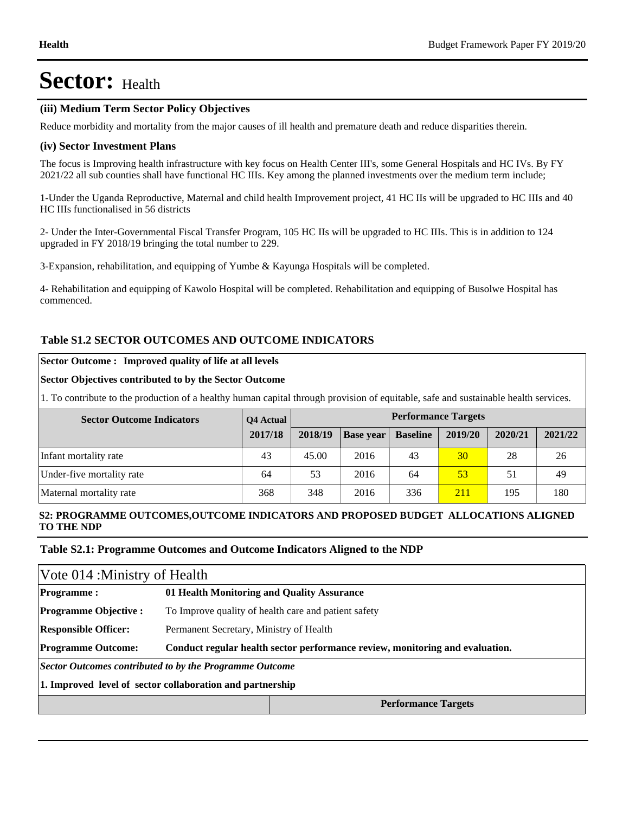#### **(iii) Medium Term Sector Policy Objectives**

Reduce morbidity and mortality from the major causes of ill health and premature death and reduce disparities therein.

#### **(iv) Sector Investment Plans**

The focus is Improving health infrastructure with key focus on Health Center III's, some General Hospitals and HC IVs. By FY 2021/22 all sub counties shall have functional HC IIIs. Key among the planned investments over the medium term include;

1-Under the Uganda Reproductive, Maternal and child health Improvement project, 41 HC IIs will be upgraded to HC IIIs and 40 HC IIIs functionalised in 56 districts

2- Under the Inter-Governmental Fiscal Transfer Program, 105 HC IIs will be upgraded to HC IIIs. This is in addition to 124 upgraded in FY 2018/19 bringing the total number to 229.

3-Expansion, rehabilitation, and equipping of Yumbe & Kayunga Hospitals will be completed.

4- Rehabilitation and equipping of Kawolo Hospital will be completed. Rehabilitation and equipping of Busolwe Hospital has commenced.

#### **Table S1.2 SECTOR OUTCOMES AND OUTCOME INDICATORS**

#### **Sector Outcome : Improved quality of life at all levels**

#### **Sector Objectives contributed to by the Sector Outcome**

1. To contribute to the production of a healthy human capital through provision of equitable, safe and sustainable health services.

| <b>Sector Outcome Indicators</b> | Q4 Actual | <b>Performance Targets</b> |                  |                 |            |         |         |  |
|----------------------------------|-----------|----------------------------|------------------|-----------------|------------|---------|---------|--|
|                                  | 2017/18   | 2018/19                    | <b>Base year</b> | <b>Baseline</b> | 2019/20    | 2020/21 | 2021/22 |  |
| Infant mortality rate            | 43        | 45.00                      | 2016             | 43              | 30         | 28      | 26      |  |
| Under-five mortality rate        | 64        | 53                         | 2016             | 64              | 53         | 51      | 49      |  |
| Maternal mortality rate          | 368       | 348                        | 2016             | 336             | <b>211</b> | 195     | 180     |  |

#### **S2: PROGRAMME OUTCOMES,OUTCOME INDICATORS AND PROPOSED BUDGET ALLOCATIONS ALIGNED TO THE NDP**

#### **Table S2.1: Programme Outcomes and Outcome Indicators Aligned to the NDP**

|                                                           | Vote 014 : Ministry of Health           |                                                                              |  |  |  |  |
|-----------------------------------------------------------|-----------------------------------------|------------------------------------------------------------------------------|--|--|--|--|
| Programme:                                                |                                         | 01 Health Monitoring and Quality Assurance                                   |  |  |  |  |
| <b>Programme Objective:</b>                               |                                         | To Improve quality of health care and patient safety                         |  |  |  |  |
| <b>Responsible Officer:</b>                               | Permanent Secretary, Ministry of Health |                                                                              |  |  |  |  |
| <b>Programme Outcome:</b>                                 |                                         | Conduct regular health sector performance review, monitoring and evaluation. |  |  |  |  |
| Sector Outcomes contributed to by the Programme Outcome   |                                         |                                                                              |  |  |  |  |
| 1. Improved level of sector collaboration and partnership |                                         |                                                                              |  |  |  |  |
|                                                           |                                         | <b>Performance Targets</b>                                                   |  |  |  |  |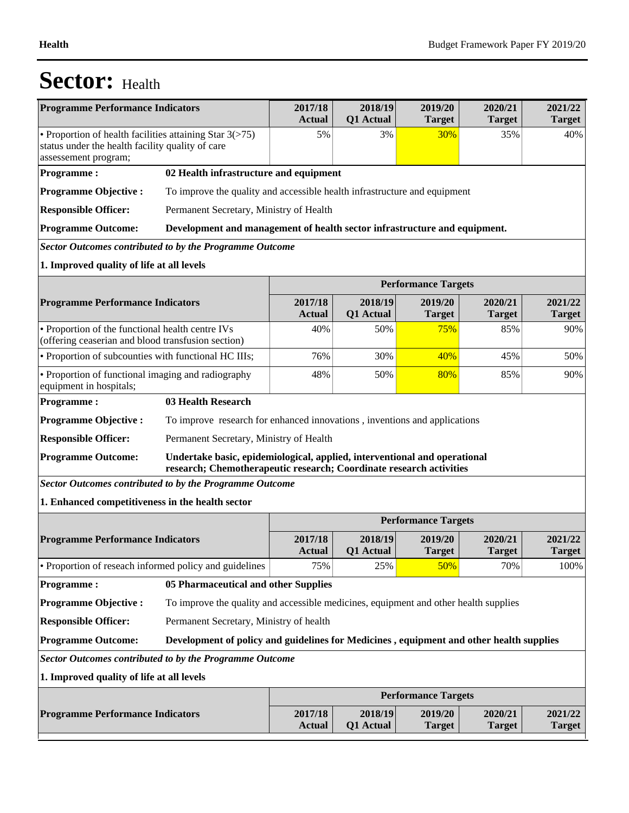| <b>Programme Performance Indicators</b>                                                                                               |                                                                                                                                                  | 2017/18<br><b>Actual</b> | 2018/19<br>Q1 Actual | 2019/20<br>2020/21<br>2021/22<br><b>Target</b><br><b>Target</b><br><b>Target</b> |                          |                          |  |
|---------------------------------------------------------------------------------------------------------------------------------------|--------------------------------------------------------------------------------------------------------------------------------------------------|--------------------------|----------------------|----------------------------------------------------------------------------------|--------------------------|--------------------------|--|
| • Proportion of health facilities attaining Star $3(>75)$<br>status under the health facility quality of care<br>assessement program; |                                                                                                                                                  | 5%                       | 3%                   | 30%                                                                              | 35%                      | 40%                      |  |
| <b>Programme:</b>                                                                                                                     | 02 Health infrastructure and equipment                                                                                                           |                          |                      |                                                                                  |                          |                          |  |
| <b>Programme Objective:</b>                                                                                                           | To improve the quality and accessible health infrastructure and equipment                                                                        |                          |                      |                                                                                  |                          |                          |  |
| <b>Responsible Officer:</b>                                                                                                           | Permanent Secretary, Ministry of Health                                                                                                          |                          |                      |                                                                                  |                          |                          |  |
| <b>Programme Outcome:</b>                                                                                                             | Development and management of health sector infrastructure and equipment.                                                                        |                          |                      |                                                                                  |                          |                          |  |
| <b>Sector Outcomes contributed to by the Programme Outcome</b>                                                                        |                                                                                                                                                  |                          |                      |                                                                                  |                          |                          |  |
| 1. Improved quality of life at all levels                                                                                             |                                                                                                                                                  |                          |                      |                                                                                  |                          |                          |  |
|                                                                                                                                       |                                                                                                                                                  |                          |                      | <b>Performance Targets</b>                                                       |                          |                          |  |
| <b>Programme Performance Indicators</b>                                                                                               |                                                                                                                                                  | 2017/18<br><b>Actual</b> | 2018/19<br>Q1 Actual | 2019/20<br><b>Target</b>                                                         | 2020/21<br><b>Target</b> | 2021/22<br><b>Target</b> |  |
| • Proportion of the functional health centre IVs<br>(offering ceaserian and blood transfusion section)                                |                                                                                                                                                  | 40%                      | 50%                  | 75%                                                                              | 85%                      | 90%                      |  |
| • Proportion of subcounties with functional HC IIIs;                                                                                  |                                                                                                                                                  | 76%                      | 30%                  | 40%                                                                              | 45%                      | 50%                      |  |
| • Proportion of functional imaging and radiography<br>equipment in hospitals;                                                         |                                                                                                                                                  | 48%                      | 50%                  | 80%                                                                              | 85%                      | 90%                      |  |
| <b>Programme:</b>                                                                                                                     | 03 Health Research                                                                                                                               |                          |                      |                                                                                  |                          |                          |  |
| <b>Programme Objective:</b>                                                                                                           | To improve research for enhanced innovations, inventions and applications                                                                        |                          |                      |                                                                                  |                          |                          |  |
| <b>Responsible Officer:</b>                                                                                                           | Permanent Secretary, Ministry of Health                                                                                                          |                          |                      |                                                                                  |                          |                          |  |
| <b>Programme Outcome:</b>                                                                                                             | Undertake basic, epidemiological, applied, interventional and operational<br>research; Chemotherapeutic research; Coordinate research activities |                          |                      |                                                                                  |                          |                          |  |
| Sector Outcomes contributed to by the Programme Outcome                                                                               |                                                                                                                                                  |                          |                      |                                                                                  |                          |                          |  |
| 1. Enhanced competitiveness in the health sector                                                                                      |                                                                                                                                                  |                          |                      |                                                                                  |                          |                          |  |
|                                                                                                                                       |                                                                                                                                                  |                          |                      | <b>Performance Targets</b>                                                       |                          |                          |  |
| <b>Programme Performance Indicators</b>                                                                                               |                                                                                                                                                  | 2017/18<br><b>Actual</b> | 2018/19<br>Q1 Actual | 2019/20<br><b>Target</b>                                                         | 2020/21<br><b>Target</b> | 2021/22<br><b>Target</b> |  |
| • Proportion of reseach informed policy and guidelines                                                                                |                                                                                                                                                  | 75%                      | 25%                  | 50%                                                                              | 70%                      | 100%                     |  |
| <b>Programme:</b>                                                                                                                     | 05 Pharmaceutical and other Supplies                                                                                                             |                          |                      |                                                                                  |                          |                          |  |
| <b>Programme Objective:</b>                                                                                                           | To improve the quality and accessible medicines, equipment and other health supplies                                                             |                          |                      |                                                                                  |                          |                          |  |
| <b>Responsible Officer:</b>                                                                                                           | Permanent Secretary, Ministry of health                                                                                                          |                          |                      |                                                                                  |                          |                          |  |
| <b>Programme Outcome:</b>                                                                                                             | Development of policy and guidelines for Medicines , equipment and other health supplies                                                         |                          |                      |                                                                                  |                          |                          |  |
| <b>Sector Outcomes contributed to by the Programme Outcome</b>                                                                        |                                                                                                                                                  |                          |                      |                                                                                  |                          |                          |  |
| 1. Improved quality of life at all levels                                                                                             |                                                                                                                                                  |                          |                      |                                                                                  |                          |                          |  |
|                                                                                                                                       |                                                                                                                                                  |                          |                      | <b>Performance Targets</b>                                                       |                          |                          |  |
| <b>Programme Performance Indicators</b>                                                                                               |                                                                                                                                                  | 2017/18<br><b>Actual</b> | 2018/19<br>Q1 Actual | 2019/20<br><b>Target</b>                                                         | 2020/21<br><b>Target</b> | 2021/22<br><b>Target</b> |  |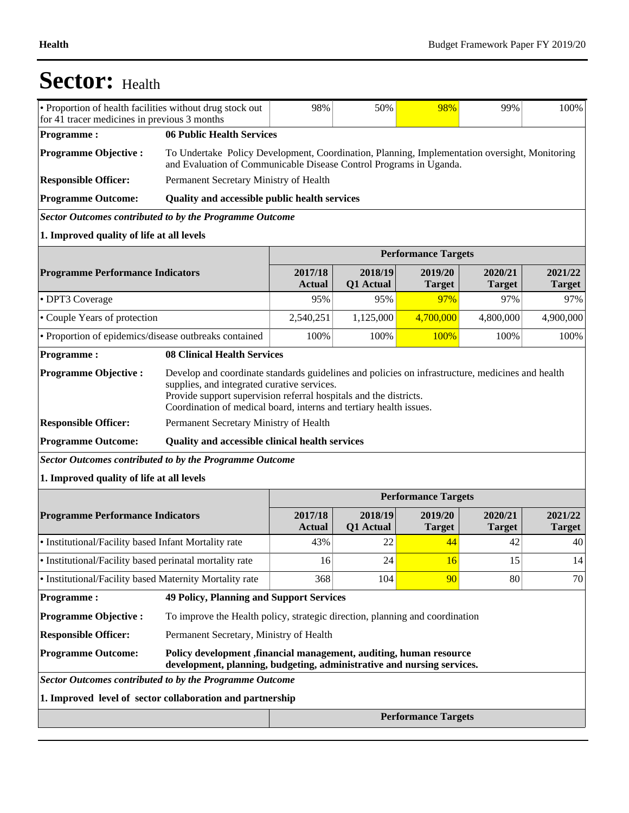| • Proportion of health facilities without drug stock out<br>98%<br>50%<br>98%<br>99%<br>for 41 tracer medicines in previous 3 months                                    |                                                                                                                                                                     |                          |                            |                            | 100%                     |                          |
|-------------------------------------------------------------------------------------------------------------------------------------------------------------------------|---------------------------------------------------------------------------------------------------------------------------------------------------------------------|--------------------------|----------------------------|----------------------------|--------------------------|--------------------------|
| <b>Programme:</b>                                                                                                                                                       | 06 Public Health Services                                                                                                                                           |                          |                            |                            |                          |                          |
| <b>Programme Objective:</b>                                                                                                                                             | To Undertake Policy Development, Coordination, Planning, Implementation oversight, Monitoring<br>and Evaluation of Communicable Disease Control Programs in Uganda. |                          |                            |                            |                          |                          |
| <b>Responsible Officer:</b>                                                                                                                                             | Permanent Secretary Ministry of Health                                                                                                                              |                          |                            |                            |                          |                          |
| <b>Programme Outcome:</b>                                                                                                                                               | Quality and accessible public health services                                                                                                                       |                          |                            |                            |                          |                          |
| <b>Sector Outcomes contributed to by the Programme Outcome</b>                                                                                                          |                                                                                                                                                                     |                          |                            |                            |                          |                          |
| 1. Improved quality of life at all levels                                                                                                                               |                                                                                                                                                                     |                          |                            |                            |                          |                          |
|                                                                                                                                                                         |                                                                                                                                                                     |                          | <b>Performance Targets</b> |                            |                          |                          |
| <b>Programme Performance Indicators</b>                                                                                                                                 |                                                                                                                                                                     | 2017/18<br><b>Actual</b> | 2018/19<br>Q1 Actual       | 2019/20<br><b>Target</b>   | 2020/21<br><b>Target</b> | 2021/22<br><b>Target</b> |
| • DPT3 Coverage                                                                                                                                                         |                                                                                                                                                                     | 95%                      | 95%                        | 97%                        | 97%                      | 97%                      |
| • Couple Years of protection                                                                                                                                            |                                                                                                                                                                     | 2,540,251                | 1,125,000                  | 4,700,000                  | 4,800,000                | 4,900,000                |
| • Proportion of epidemics/disease outbreaks contained                                                                                                                   |                                                                                                                                                                     | 100%                     | 100%                       | 100%                       | 100%                     | 100%                     |
| <b>Programme:</b>                                                                                                                                                       | <b>08 Clinical Health Services</b>                                                                                                                                  |                          |                            |                            |                          |                          |
| <b>Responsible Officer:</b><br><b>Programme Outcome:</b><br><b>Sector Outcomes contributed to by the Programme Outcome</b><br>1. Improved quality of life at all levels | Coordination of medical board, interns and tertiary health issues.<br>Permanent Secretary Ministry of Health<br>Quality and accessible clinical health services     |                          |                            |                            |                          |                          |
|                                                                                                                                                                         |                                                                                                                                                                     |                          |                            | <b>Performance Targets</b> |                          |                          |
| <b>Programme Performance Indicators</b>                                                                                                                                 |                                                                                                                                                                     | 2017/18<br><b>Actual</b> | 2018/19                    | 2019/20                    | 2020/21                  |                          |
|                                                                                                                                                                         |                                                                                                                                                                     |                          | Q1 Actual                  | <b>Target</b>              | <b>Target</b>            | 2021/22<br><b>Target</b> |
|                                                                                                                                                                         | • Institutional/Facility based Infant Mortality rate                                                                                                                | 43%                      | 22                         | 44                         | 42                       | 40                       |
| · Institutional/Facility based perinatal mortality rate                                                                                                                 |                                                                                                                                                                     | 16                       | 24                         | 16                         | 15                       | 14                       |
| • Institutional/Facility based Maternity Mortality rate                                                                                                                 |                                                                                                                                                                     | 368                      | 104                        | 90                         | 80                       | 70                       |
| <b>Programme:</b>                                                                                                                                                       | <b>49 Policy, Planning and Support Services</b>                                                                                                                     |                          |                            |                            |                          |                          |
| <b>Programme Objective:</b>                                                                                                                                             | To improve the Health policy, strategic direction, planning and coordination                                                                                        |                          |                            |                            |                          |                          |
| <b>Responsible Officer:</b>                                                                                                                                             | Permanent Secretary, Ministry of Health                                                                                                                             |                          |                            |                            |                          |                          |
| <b>Programme Outcome:</b>                                                                                                                                               | Policy development , financial management, auditing, human resource<br>development, planning, budgeting, administrative and nursing services.                       |                          |                            |                            |                          |                          |
| <b>Sector Outcomes contributed to by the Programme Outcome</b>                                                                                                          |                                                                                                                                                                     |                          |                            |                            |                          |                          |
| 1. Improved level of sector collaboration and partnership                                                                                                               |                                                                                                                                                                     |                          |                            |                            |                          |                          |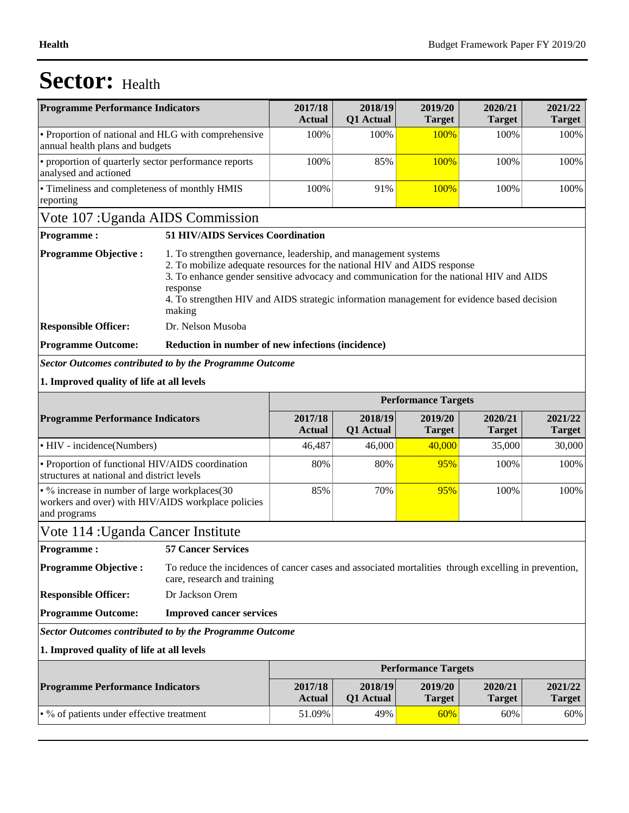| <b>Programme Performance Indicators</b>                                                                             |                                                                                                                                     | 2017/18<br>Actual                                                                                                                                                                                                                                                                                                                    | 2018/19<br>Q1 Actual | 2019/20<br><b>Target</b>   | 2020/21<br><b>Target</b> | 2021/22<br><b>Target</b> |  |
|---------------------------------------------------------------------------------------------------------------------|-------------------------------------------------------------------------------------------------------------------------------------|--------------------------------------------------------------------------------------------------------------------------------------------------------------------------------------------------------------------------------------------------------------------------------------------------------------------------------------|----------------------|----------------------------|--------------------------|--------------------------|--|
| • Proportion of national and HLG with comprehensive<br>annual health plans and budgets                              |                                                                                                                                     | 100%                                                                                                                                                                                                                                                                                                                                 | 100%                 | 100%                       | 100%                     | 100%                     |  |
| • proportion of quarterly sector performance reports<br>analysed and actioned                                       |                                                                                                                                     | 100%                                                                                                                                                                                                                                                                                                                                 | 85%                  | 100%                       | 100%                     | 100%                     |  |
| • Timeliness and completeness of monthly HMIS<br>reporting                                                          |                                                                                                                                     | 100%                                                                                                                                                                                                                                                                                                                                 | 91%                  | 100%                       | 100%                     | 100%                     |  |
| Vote 107 : Uganda AIDS Commission                                                                                   |                                                                                                                                     |                                                                                                                                                                                                                                                                                                                                      |                      |                            |                          |                          |  |
| <b>Programme:</b>                                                                                                   | <b>51 HIV/AIDS Services Coordination</b>                                                                                            |                                                                                                                                                                                                                                                                                                                                      |                      |                            |                          |                          |  |
| <b>Programme Objective:</b>                                                                                         | response<br>making                                                                                                                  | 1. To strengthen governance, leadership, and management systems<br>2. To mobilize adequate resources for the national HIV and AIDS response<br>3. To enhance gender sensitive advocacy and communication for the national HIV and AIDS<br>4. To strengthen HIV and AIDS strategic information management for evidence based decision |                      |                            |                          |                          |  |
| <b>Responsible Officer:</b>                                                                                         | Dr. Nelson Musoba                                                                                                                   |                                                                                                                                                                                                                                                                                                                                      |                      |                            |                          |                          |  |
| <b>Programme Outcome:</b>                                                                                           | Reduction in number of new infections (incidence)                                                                                   |                                                                                                                                                                                                                                                                                                                                      |                      |                            |                          |                          |  |
| <b>Sector Outcomes contributed to by the Programme Outcome</b>                                                      |                                                                                                                                     |                                                                                                                                                                                                                                                                                                                                      |                      |                            |                          |                          |  |
| 1. Improved quality of life at all levels                                                                           |                                                                                                                                     |                                                                                                                                                                                                                                                                                                                                      |                      |                            |                          |                          |  |
|                                                                                                                     |                                                                                                                                     |                                                                                                                                                                                                                                                                                                                                      |                      | <b>Performance Targets</b> |                          |                          |  |
| <b>Programme Performance Indicators</b>                                                                             |                                                                                                                                     | 2017/18<br><b>Actual</b>                                                                                                                                                                                                                                                                                                             | 2018/19<br>Q1 Actual | 2019/20<br><b>Target</b>   | 2020/21<br><b>Target</b> | 2021/22<br><b>Target</b> |  |
| • HIV - incidence(Numbers)                                                                                          |                                                                                                                                     | 46,487                                                                                                                                                                                                                                                                                                                               | 46,000               | 40,000                     | 35,000                   | 30,000                   |  |
| • Proportion of functional HIV/AIDS coordination<br>structures at national and district levels                      |                                                                                                                                     | 80%                                                                                                                                                                                                                                                                                                                                  | 80%                  | 95%                        | 100%                     | 100%                     |  |
| • % increase in number of large workplaces(30<br>workers and over) with HIV/AIDS workplace policies<br>and programs |                                                                                                                                     | 85%                                                                                                                                                                                                                                                                                                                                  | 70%                  | 95%                        | 100%                     | 100%                     |  |
| Vote 114 : Uganda Cancer Institute                                                                                  |                                                                                                                                     |                                                                                                                                                                                                                                                                                                                                      |                      |                            |                          |                          |  |
| <b>Programme:</b>                                                                                                   | <b>57 Cancer Services</b>                                                                                                           |                                                                                                                                                                                                                                                                                                                                      |                      |                            |                          |                          |  |
| <b>Programme Objective:</b>                                                                                         | To reduce the incidences of cancer cases and associated mortalities through excelling in prevention,<br>care, research and training |                                                                                                                                                                                                                                                                                                                                      |                      |                            |                          |                          |  |
| <b>Responsible Officer:</b>                                                                                         | Dr Jackson Orem                                                                                                                     |                                                                                                                                                                                                                                                                                                                                      |                      |                            |                          |                          |  |
| <b>Programme Outcome:</b>                                                                                           | <b>Improved cancer services</b>                                                                                                     |                                                                                                                                                                                                                                                                                                                                      |                      |                            |                          |                          |  |
| <b>Sector Outcomes contributed to by the Programme Outcome</b>                                                      |                                                                                                                                     |                                                                                                                                                                                                                                                                                                                                      |                      |                            |                          |                          |  |
|                                                                                                                     |                                                                                                                                     |                                                                                                                                                                                                                                                                                                                                      |                      |                            |                          |                          |  |
| 1. Improved quality of life at all levels                                                                           |                                                                                                                                     |                                                                                                                                                                                                                                                                                                                                      |                      |                            |                          |                          |  |
|                                                                                                                     |                                                                                                                                     |                                                                                                                                                                                                                                                                                                                                      |                      | <b>Performance Targets</b> |                          |                          |  |
| <b>Programme Performance Indicators</b>                                                                             |                                                                                                                                     | 2017/18<br><b>Actual</b>                                                                                                                                                                                                                                                                                                             | 2018/19<br>Q1 Actual | 2019/20<br><b>Target</b>   | 2020/21<br><b>Target</b> | 2021/22<br><b>Target</b> |  |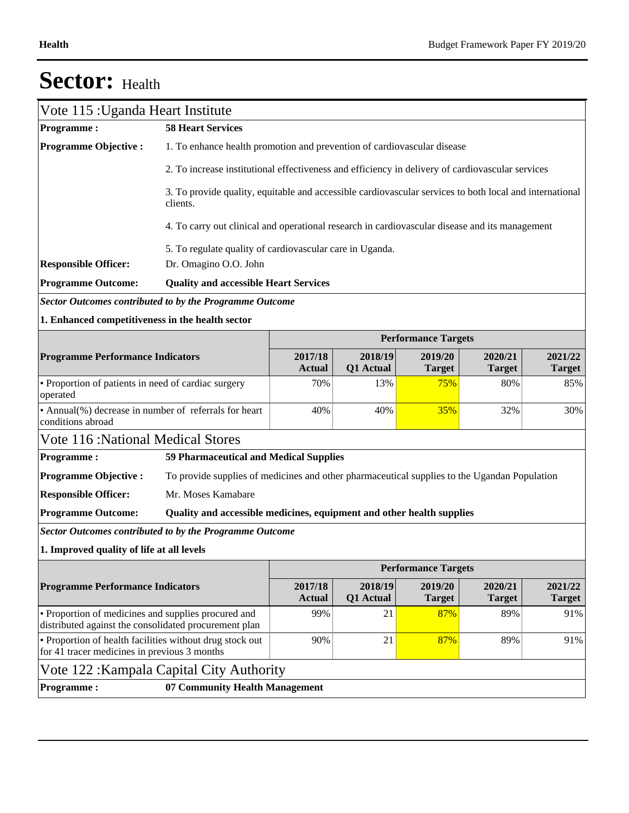| Vote 115 : Uganda Heart Institute                                                                            |                                                                                                                     |                          |                      |                            |                          |                          |
|--------------------------------------------------------------------------------------------------------------|---------------------------------------------------------------------------------------------------------------------|--------------------------|----------------------|----------------------------|--------------------------|--------------------------|
| <b>Programme:</b>                                                                                            | <b>58 Heart Services</b>                                                                                            |                          |                      |                            |                          |                          |
| <b>Programme Objective:</b>                                                                                  | 1. To enhance health promotion and prevention of cardiovascular disease                                             |                          |                      |                            |                          |                          |
|                                                                                                              | 2. To increase institutional effectiveness and efficiency in delivery of cardiovascular services                    |                          |                      |                            |                          |                          |
|                                                                                                              | 3. To provide quality, equitable and accessible cardiovascular services to both local and international<br>clients. |                          |                      |                            |                          |                          |
|                                                                                                              | 4. To carry out clinical and operational research in cardiovascular disease and its management                      |                          |                      |                            |                          |                          |
|                                                                                                              | 5. To regulate quality of cardiovascular care in Uganda.                                                            |                          |                      |                            |                          |                          |
| <b>Responsible Officer:</b>                                                                                  | Dr. Omagino O.O. John                                                                                               |                          |                      |                            |                          |                          |
| <b>Programme Outcome:</b>                                                                                    | <b>Quality and accessible Heart Services</b>                                                                        |                          |                      |                            |                          |                          |
| Sector Outcomes contributed to by the Programme Outcome                                                      |                                                                                                                     |                          |                      |                            |                          |                          |
| 1. Enhanced competitiveness in the health sector                                                             |                                                                                                                     |                          |                      |                            |                          |                          |
|                                                                                                              |                                                                                                                     |                          |                      | <b>Performance Targets</b> |                          |                          |
| <b>Programme Performance Indicators</b>                                                                      |                                                                                                                     | 2017/18<br><b>Actual</b> | 2018/19<br>Q1 Actual | 2019/20<br><b>Target</b>   | 2020/21<br><b>Target</b> | 2021/22<br><b>Target</b> |
| • Proportion of patients in need of cardiac surgery<br>operated                                              |                                                                                                                     | 70%                      | 13%                  | 75%                        | 80%                      | 85%                      |
| • Annual(%) decrease in number of referrals for heart<br>conditions abroad                                   |                                                                                                                     | 40%                      | 40%                  | 35%                        | 32%                      | 30%                      |
| <b>Vote 116: National Medical Stores</b>                                                                     |                                                                                                                     |                          |                      |                            |                          |                          |
| <b>Programme:</b>                                                                                            | 59 Pharmaceutical and Medical Supplies                                                                              |                          |                      |                            |                          |                          |
| <b>Programme Objective:</b>                                                                                  | To provide supplies of medicines and other pharmaceutical supplies to the Ugandan Population                        |                          |                      |                            |                          |                          |
| <b>Responsible Officer:</b>                                                                                  | Mr. Moses Kamabare                                                                                                  |                          |                      |                            |                          |                          |
| <b>Programme Outcome:</b>                                                                                    | Quality and accessible medicines, equipment and other health supplies                                               |                          |                      |                            |                          |                          |
| <b>Sector Outcomes contributed to by the Programme Outcome</b>                                               |                                                                                                                     |                          |                      |                            |                          |                          |
| 1. Improved quality of life at all levels                                                                    |                                                                                                                     |                          |                      |                            |                          |                          |
|                                                                                                              |                                                                                                                     |                          |                      | <b>Performance Targets</b> |                          |                          |
| <b>Programme Performance Indicators</b>                                                                      |                                                                                                                     | 2017/18<br><b>Actual</b> | 2018/19<br>Q1 Actual | 2019/20<br><b>Target</b>   | 2020/21<br><b>Target</b> | 2021/22<br><b>Target</b> |
| • Proportion of medicines and supplies procured and<br>distributed against the consolidated procurement plan |                                                                                                                     | 99%                      | 21                   | 87%                        | 89%                      | 91%                      |
| • Proportion of health facilities without drug stock out<br>for 41 tracer medicines in previous 3 months     |                                                                                                                     | 90%                      | 21                   | 87%                        | 89%                      | 91%                      |
| Vote 122 : Kampala Capital City Authority                                                                    |                                                                                                                     |                          |                      |                            |                          |                          |
| <b>Programme:</b>                                                                                            | 07 Community Health Management                                                                                      |                          |                      |                            |                          |                          |
|                                                                                                              |                                                                                                                     |                          |                      |                            |                          |                          |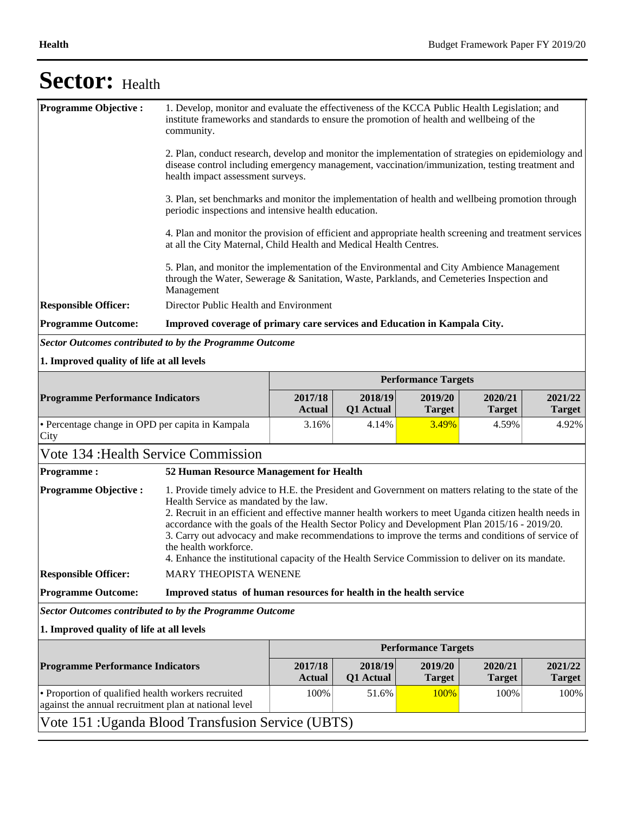| <b>Programme Objective:</b>                                                                                 | 1. Develop, monitor and evaluate the effectiveness of the KCCA Public Health Legislation; and<br>institute frameworks and standards to ensure the promotion of health and wellbeing of the<br>community.                                                                                                                                                                                                                                                                                                                                                                                    |                          |                      |                            |                          |                          |
|-------------------------------------------------------------------------------------------------------------|---------------------------------------------------------------------------------------------------------------------------------------------------------------------------------------------------------------------------------------------------------------------------------------------------------------------------------------------------------------------------------------------------------------------------------------------------------------------------------------------------------------------------------------------------------------------------------------------|--------------------------|----------------------|----------------------------|--------------------------|--------------------------|
|                                                                                                             | 2. Plan, conduct research, develop and monitor the implementation of strategies on epidemiology and<br>disease control including emergency management, vaccination/immunization, testing treatment and<br>health impact assessment surveys.                                                                                                                                                                                                                                                                                                                                                 |                          |                      |                            |                          |                          |
|                                                                                                             | 3. Plan, set benchmarks and monitor the implementation of health and wellbeing promotion through<br>periodic inspections and intensive health education.                                                                                                                                                                                                                                                                                                                                                                                                                                    |                          |                      |                            |                          |                          |
|                                                                                                             | 4. Plan and monitor the provision of efficient and appropriate health screening and treatment services<br>at all the City Maternal, Child Health and Medical Health Centres.                                                                                                                                                                                                                                                                                                                                                                                                                |                          |                      |                            |                          |                          |
|                                                                                                             | 5. Plan, and monitor the implementation of the Environmental and City Ambience Management<br>through the Water, Sewerage & Sanitation, Waste, Parklands, and Cemeteries Inspection and<br>Management                                                                                                                                                                                                                                                                                                                                                                                        |                          |                      |                            |                          |                          |
| <b>Responsible Officer:</b>                                                                                 | Director Public Health and Environment                                                                                                                                                                                                                                                                                                                                                                                                                                                                                                                                                      |                          |                      |                            |                          |                          |
| <b>Programme Outcome:</b>                                                                                   | Improved coverage of primary care services and Education in Kampala City.                                                                                                                                                                                                                                                                                                                                                                                                                                                                                                                   |                          |                      |                            |                          |                          |
| <b>Sector Outcomes contributed to by the Programme Outcome</b>                                              |                                                                                                                                                                                                                                                                                                                                                                                                                                                                                                                                                                                             |                          |                      |                            |                          |                          |
| 1. Improved quality of life at all levels                                                                   |                                                                                                                                                                                                                                                                                                                                                                                                                                                                                                                                                                                             |                          |                      |                            |                          |                          |
|                                                                                                             |                                                                                                                                                                                                                                                                                                                                                                                                                                                                                                                                                                                             |                          |                      | <b>Performance Targets</b> |                          |                          |
| <b>Programme Performance Indicators</b>                                                                     |                                                                                                                                                                                                                                                                                                                                                                                                                                                                                                                                                                                             | 2017/18<br><b>Actual</b> | 2018/19<br>Q1 Actual | 2019/20<br><b>Target</b>   | 2020/21<br><b>Target</b> | 2021/22<br><b>Target</b> |
| • Percentage change in OPD per capita in Kampala<br>City                                                    |                                                                                                                                                                                                                                                                                                                                                                                                                                                                                                                                                                                             | 3.16%                    | 4.14%                | 3.49%                      | 4.59%                    | 4.92%                    |
| Vote 134 : Health Service Commission                                                                        |                                                                                                                                                                                                                                                                                                                                                                                                                                                                                                                                                                                             |                          |                      |                            |                          |                          |
| <b>Programme:</b>                                                                                           | 52 Human Resource Management for Health                                                                                                                                                                                                                                                                                                                                                                                                                                                                                                                                                     |                          |                      |                            |                          |                          |
| <b>Programme Objective:</b>                                                                                 | 1. Provide timely advice to H.E. the President and Government on matters relating to the state of the<br>Health Service as mandated by the law.<br>2. Recruit in an efficient and effective manner health workers to meet Uganda citizen health needs in<br>accordance with the goals of the Health Sector Policy and Development Plan 2015/16 - 2019/20.<br>3. Carry out advocacy and make recommendations to improve the terms and conditions of service of<br>the health workforce.<br>4. Enhance the institutional capacity of the Health Service Commission to deliver on its mandate. |                          |                      |                            |                          |                          |
| <b>Responsible Officer:</b>                                                                                 | MARY THEOPISTA WENENE                                                                                                                                                                                                                                                                                                                                                                                                                                                                                                                                                                       |                          |                      |                            |                          |                          |
| <b>Programme Outcome:</b>                                                                                   | Improved status of human resources for health in the health service                                                                                                                                                                                                                                                                                                                                                                                                                                                                                                                         |                          |                      |                            |                          |                          |
| <b>Sector Outcomes contributed to by the Programme Outcome</b>                                              |                                                                                                                                                                                                                                                                                                                                                                                                                                                                                                                                                                                             |                          |                      |                            |                          |                          |
| 1. Improved quality of life at all levels                                                                   |                                                                                                                                                                                                                                                                                                                                                                                                                                                                                                                                                                                             |                          |                      |                            |                          |                          |
|                                                                                                             |                                                                                                                                                                                                                                                                                                                                                                                                                                                                                                                                                                                             |                          |                      | <b>Performance Targets</b> |                          |                          |
| <b>Programme Performance Indicators</b>                                                                     |                                                                                                                                                                                                                                                                                                                                                                                                                                                                                                                                                                                             | 2017/18<br><b>Actual</b> | 2018/19<br>Q1 Actual | 2019/20<br><b>Target</b>   | 2020/21<br><b>Target</b> | 2021/22<br><b>Target</b> |
| • Proportion of qualified health workers recruited<br>against the annual recruitment plan at national level |                                                                                                                                                                                                                                                                                                                                                                                                                                                                                                                                                                                             | 100%                     | 51.6%                | 100%                       | 100%                     | 100%                     |
| Vote 151 : Uganda Blood Transfusion Service (UBTS)                                                          |                                                                                                                                                                                                                                                                                                                                                                                                                                                                                                                                                                                             |                          |                      |                            |                          |                          |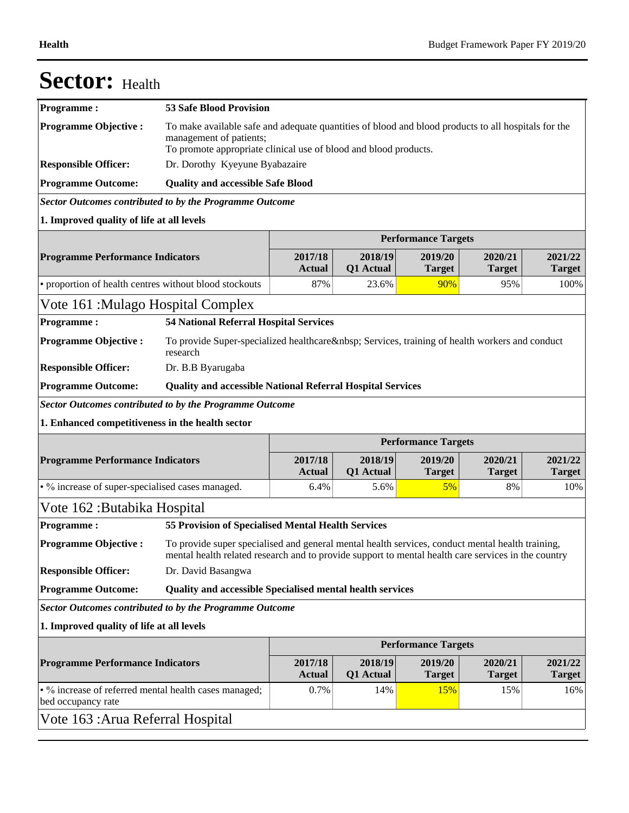| <b>Sector:</b> Health                                          |                                                                                                                                                                                                         |                          |                             |                            |                          |                          |
|----------------------------------------------------------------|---------------------------------------------------------------------------------------------------------------------------------------------------------------------------------------------------------|--------------------------|-----------------------------|----------------------------|--------------------------|--------------------------|
| <b>Programme:</b>                                              | <b>53 Safe Blood Provision</b>                                                                                                                                                                          |                          |                             |                            |                          |                          |
| <b>Programme Objective:</b>                                    | To make available safe and adequate quantities of blood and blood products to all hospitals for the<br>management of patients;<br>To promote appropriate clinical use of blood and blood products.      |                          |                             |                            |                          |                          |
| <b>Responsible Officer:</b>                                    | Dr. Dorothy Kyeyune Byabazaire                                                                                                                                                                          |                          |                             |                            |                          |                          |
| <b>Programme Outcome:</b>                                      | <b>Quality and accessible Safe Blood</b>                                                                                                                                                                |                          |                             |                            |                          |                          |
| <b>Sector Outcomes contributed to by the Programme Outcome</b> |                                                                                                                                                                                                         |                          |                             |                            |                          |                          |
| 1. Improved quality of life at all levels                      |                                                                                                                                                                                                         |                          |                             |                            |                          |                          |
|                                                                |                                                                                                                                                                                                         |                          |                             | <b>Performance Targets</b> |                          |                          |
| <b>Programme Performance Indicators</b>                        |                                                                                                                                                                                                         | 2017/18<br><b>Actual</b> | 2018/19<br><b>Q1</b> Actual | 2019/20<br><b>Target</b>   | 2020/21<br><b>Target</b> | 2021/22<br><b>Target</b> |
| • proportion of health centres without blood stockouts         |                                                                                                                                                                                                         | 87%                      | 23.6%                       | 90%                        | 95%                      | 100%                     |
| Vote 161 :Mulago Hospital Complex                              |                                                                                                                                                                                                         |                          |                             |                            |                          |                          |
| <b>Programme:</b>                                              | <b>54 National Referral Hospital Services</b>                                                                                                                                                           |                          |                             |                            |                          |                          |
| <b>Programme Objective:</b>                                    | To provide Super-specialized healthcare  Services, training of health workers and conduct<br>research                                                                                                   |                          |                             |                            |                          |                          |
| <b>Responsible Officer:</b>                                    | Dr. B.B Byarugaba                                                                                                                                                                                       |                          |                             |                            |                          |                          |
| <b>Programme Outcome:</b>                                      | <b>Quality and accessible National Referral Hospital Services</b>                                                                                                                                       |                          |                             |                            |                          |                          |
| <b>Sector Outcomes contributed to by the Programme Outcome</b> |                                                                                                                                                                                                         |                          |                             |                            |                          |                          |
| 1. Enhanced competitiveness in the health sector               |                                                                                                                                                                                                         |                          |                             |                            |                          |                          |
|                                                                |                                                                                                                                                                                                         |                          |                             | <b>Performance Targets</b> |                          |                          |
| <b>Programme Performance Indicators</b>                        |                                                                                                                                                                                                         | 2017/18<br><b>Actual</b> | 2018/19<br>Q1 Actual        | 2019/20<br><b>Target</b>   | 2020/21<br><b>Target</b> | 2021/22<br><b>Target</b> |
| • % increase of super-specialised cases managed.               |                                                                                                                                                                                                         | 6.4%                     | 5.6%                        | 5%                         | 8%                       | 10%                      |
| Vote 162 : Butabika Hospital                                   |                                                                                                                                                                                                         |                          |                             |                            |                          |                          |
| <b>Programme:</b>                                              | <b>55 Provision of Specialised Mental Health Services</b>                                                                                                                                               |                          |                             |                            |                          |                          |
| <b>Programme Objective:</b>                                    | To provide super specialised and general mental health services, conduct mental health training,<br>mental health related research and to provide support to mental health care services in the country |                          |                             |                            |                          |                          |
| <b>Responsible Officer:</b>                                    | Dr. David Basangwa                                                                                                                                                                                      |                          |                             |                            |                          |                          |
| <b>Programme Outcome:</b>                                      | <b>Quality and accessible Specialised mental health services</b>                                                                                                                                        |                          |                             |                            |                          |                          |
| <b>Sector Outcomes contributed to by the Programme Outcome</b> |                                                                                                                                                                                                         |                          |                             |                            |                          |                          |
| 1. Improved quality of life at all levels                      |                                                                                                                                                                                                         |                          |                             |                            |                          |                          |
|                                                                |                                                                                                                                                                                                         |                          |                             | <b>Performance Targets</b> |                          |                          |
| <b>Programme Performance Indicators</b>                        |                                                                                                                                                                                                         | 2017/18<br><b>Actual</b> | 2018/19<br>Q1 Actual        | 2019/20<br><b>Target</b>   | 2020/21<br><b>Target</b> | 2021/22<br><b>Target</b> |
| • % increase of referred mental health cases managed;          |                                                                                                                                                                                                         | 0.7%                     | 14%                         | 15%                        | 15%                      | 16%                      |
| bed occupancy rate                                             |                                                                                                                                                                                                         |                          |                             |                            |                          |                          |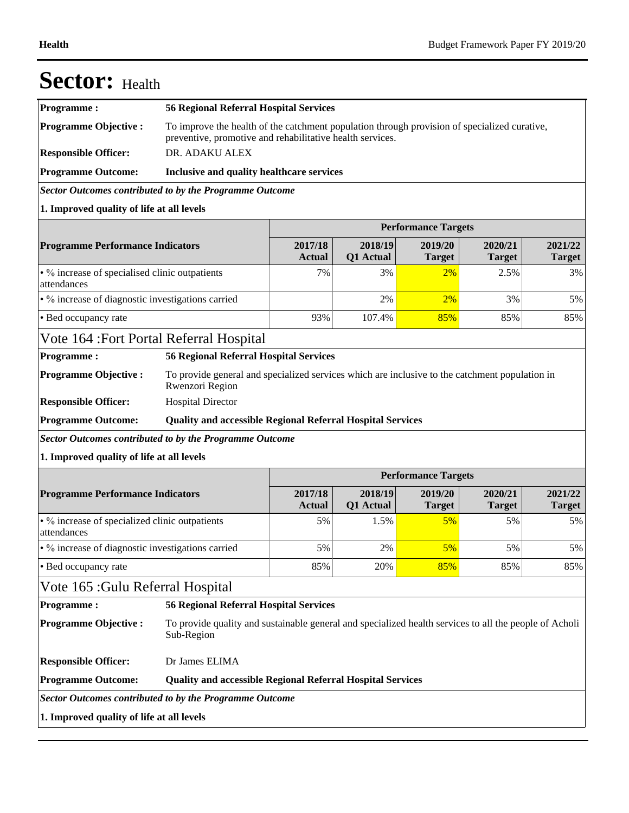| <b>Programme:</b>                                             | <b>56 Regional Referral Hospital Services</b>                                                                                                             |                            |                      |                            |                          |                          |
|---------------------------------------------------------------|-----------------------------------------------------------------------------------------------------------------------------------------------------------|----------------------------|----------------------|----------------------------|--------------------------|--------------------------|
| <b>Programme Objective:</b>                                   | To improve the health of the catchment population through provision of specialized curative,<br>preventive, promotive and rehabilitative health services. |                            |                      |                            |                          |                          |
| <b>Responsible Officer:</b>                                   | DR. ADAKU ALEX                                                                                                                                            |                            |                      |                            |                          |                          |
| <b>Programme Outcome:</b>                                     | Inclusive and quality healthcare services                                                                                                                 |                            |                      |                            |                          |                          |
|                                                               | Sector Outcomes contributed to by the Programme Outcome                                                                                                   |                            |                      |                            |                          |                          |
| 1. Improved quality of life at all levels                     |                                                                                                                                                           |                            |                      |                            |                          |                          |
|                                                               |                                                                                                                                                           | <b>Performance Targets</b> |                      |                            |                          |                          |
| <b>Programme Performance Indicators</b>                       |                                                                                                                                                           | 2017/18<br><b>Actual</b>   | 2018/19<br>Q1 Actual | 2019/20<br><b>Target</b>   | 2020/21<br><b>Target</b> | 2021/22<br><b>Target</b> |
| • % increase of specialised clinic outpatients<br>attendances |                                                                                                                                                           | 7%                         | 3%                   | 2%                         | 2.5%                     | 3%                       |
| • % increase of diagnostic investigations carried             |                                                                                                                                                           |                            | 2%                   | 2%                         | 3%                       | 5%                       |
| • Bed occupancy rate                                          |                                                                                                                                                           | 93%                        | 107.4%               | 85%                        | 85%                      | 85%                      |
| Vote 164 : Fort Portal Referral Hospital                      |                                                                                                                                                           |                            |                      |                            |                          |                          |
|                                                               | <b>56 Regional Referral Hospital Services</b>                                                                                                             |                            |                      |                            |                          |                          |
| <b>Programme:</b>                                             |                                                                                                                                                           |                            |                      |                            |                          |                          |
| <b>Programme Objective:</b><br><b>Responsible Officer:</b>    | To provide general and specialized services which are inclusive to the catchment population in<br>Rwenzori Region<br><b>Hospital Director</b>             |                            |                      |                            |                          |                          |
| <b>Programme Outcome:</b>                                     | <b>Quality and accessible Regional Referral Hospital Services</b>                                                                                         |                            |                      |                            |                          |                          |
|                                                               | <b>Sector Outcomes contributed to by the Programme Outcome</b>                                                                                            |                            |                      |                            |                          |                          |
| 1. Improved quality of life at all levels                     |                                                                                                                                                           |                            |                      |                            |                          |                          |
|                                                               |                                                                                                                                                           |                            |                      | <b>Performance Targets</b> |                          |                          |
| <b>Programme Performance Indicators</b>                       |                                                                                                                                                           | 2017/18<br>Actual          | 2018/19<br>Q1 Actual | 2019/20<br><b>Target</b>   | 2020/21<br><b>Target</b> | 2021/22<br><b>Target</b> |
| • % increase of specialized clinic outpatients<br>attendances |                                                                                                                                                           | 5%                         | 1.5%                 | 5%                         | 5%                       | 5%                       |
| • % increase of diagnostic investigations carried             |                                                                                                                                                           | 5%                         | 2%                   | 5%                         | 5%                       | 5%                       |
| • Bed occupancy rate                                          |                                                                                                                                                           | 85%                        | 20%                  | 85%                        | 85%                      | 85%                      |
| Vote 165 :Gulu Referral Hospital                              |                                                                                                                                                           |                            |                      |                            |                          |                          |
| <b>Programme:</b>                                             | <b>56 Regional Referral Hospital Services</b>                                                                                                             |                            |                      |                            |                          |                          |
| <b>Programme Objective:</b>                                   | To provide quality and sustainable general and specialized health services to all the people of Acholi<br>Sub-Region                                      |                            |                      |                            |                          |                          |
| <b>Responsible Officer:</b>                                   | Dr James ELIMA                                                                                                                                            |                            |                      |                            |                          |                          |

### Sector:

**1. Improved quality of life at all levels**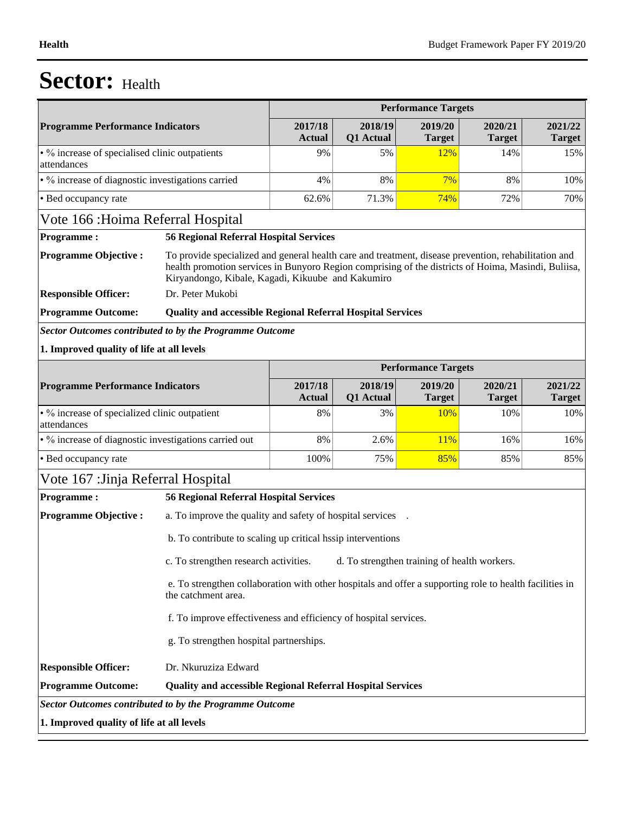|                                                                                             |                                                                                                                                                                                                                                                                                      |                             | <b>Performance Targets</b> |                          |                          |
|---------------------------------------------------------------------------------------------|--------------------------------------------------------------------------------------------------------------------------------------------------------------------------------------------------------------------------------------------------------------------------------------|-----------------------------|----------------------------|--------------------------|--------------------------|
| <b>Programme Performance Indicators</b>                                                     | 2017/18<br><b>Actual</b>                                                                                                                                                                                                                                                             | 2018/19<br>Q1 Actual        | 2019/20<br><b>Target</b>   | 2020/21<br><b>Target</b> | 2021/22<br><b>Target</b> |
| • % increase of specialised clinic outpatients<br>attendances                               | 9%                                                                                                                                                                                                                                                                                   | 5%                          | 12%                        | 14%                      | 15%                      |
| • % increase of diagnostic investigations carried                                           | 4%                                                                                                                                                                                                                                                                                   | 8%                          | 7%                         | 8%                       | 10%                      |
| • Bed occupancy rate                                                                        | 62.6%                                                                                                                                                                                                                                                                                | 71.3%                       | 74%                        | 72%                      | 70%                      |
| Vote 166 : Hoima Referral Hospital                                                          |                                                                                                                                                                                                                                                                                      |                             |                            |                          |                          |
| <b>Programme:</b>                                                                           | <b>56 Regional Referral Hospital Services</b>                                                                                                                                                                                                                                        |                             |                            |                          |                          |
| <b>Programme Objective:</b>                                                                 | To provide specialized and general health care and treatment, disease prevention, rehabilitation and<br>health promotion services in Bunyoro Region comprising of the districts of Hoima, Masindi, Buliisa,<br>Kiryandongo, Kibale, Kagadi, Kikuube and Kakumiro<br>Dr. Peter Mukobi |                             |                            |                          |                          |
| <b>Responsible Officer:</b>                                                                 |                                                                                                                                                                                                                                                                                      |                             |                            |                          |                          |
| <b>Programme Outcome:</b><br><b>Sector Outcomes contributed to by the Programme Outcome</b> | <b>Quality and accessible Regional Referral Hospital Services</b>                                                                                                                                                                                                                    |                             |                            |                          |                          |
| 1. Improved quality of life at all levels                                                   |                                                                                                                                                                                                                                                                                      |                             |                            |                          |                          |
|                                                                                             |                                                                                                                                                                                                                                                                                      |                             | <b>Performance Targets</b> |                          |                          |
| <b>Programme Performance Indicators</b>                                                     | 2017/18<br><b>Actual</b>                                                                                                                                                                                                                                                             | 2018/19<br><b>Q1</b> Actual | 2019/20<br><b>Target</b>   | 2020/21<br><b>Target</b> | 2021/22<br><b>Target</b> |
| • % increase of specialized clinic outpatient<br>attendances                                | 8%                                                                                                                                                                                                                                                                                   | 3%                          | 10%                        | 10%                      | 10%                      |
| • % increase of diagnostic investigations carried out                                       | 8%                                                                                                                                                                                                                                                                                   | 2.6%                        | 11%                        | 16%                      | 16%                      |
| • Bed occupancy rate                                                                        | 100%                                                                                                                                                                                                                                                                                 | 75%                         | 85%                        | 85%                      | 85%                      |
| Vote 167 : Jinja Referral Hospital                                                          |                                                                                                                                                                                                                                                                                      |                             |                            |                          |                          |
| <b>Programme:</b>                                                                           | <b>56 Regional Referral Hospital Services</b>                                                                                                                                                                                                                                        |                             |                            |                          |                          |
| <b>Programme Objective:</b>                                                                 | a. To improve the quality and safety of hospital services                                                                                                                                                                                                                            |                             |                            |                          |                          |
|                                                                                             | b. To contribute to scaling up critical hasip interventions                                                                                                                                                                                                                          |                             |                            |                          |                          |
|                                                                                             | c. To strengthen research activities. d. To strengthen training of health workers.                                                                                                                                                                                                   |                             |                            |                          |                          |
| the catchment area.                                                                         | e. To strengthen collaboration with other hospitals and offer a supporting role to health facilities in                                                                                                                                                                              |                             |                            |                          |                          |
|                                                                                             | f. To improve effectiveness and efficiency of hospital services.                                                                                                                                                                                                                     |                             |                            |                          |                          |
|                                                                                             | g. To strengthen hospital partnerships.                                                                                                                                                                                                                                              |                             |                            |                          |                          |
| <b>Responsible Officer:</b><br>Dr. Nkuruziza Edward                                         |                                                                                                                                                                                                                                                                                      |                             |                            |                          |                          |
| <b>Programme Outcome:</b>                                                                   | <b>Quality and accessible Regional Referral Hospital Services</b>                                                                                                                                                                                                                    |                             |                            |                          |                          |
| <b>Sector Outcomes contributed to by the Programme Outcome</b>                              |                                                                                                                                                                                                                                                                                      |                             |                            |                          |                          |
| 1. Improved quality of life at all levels                                                   |                                                                                                                                                                                                                                                                                      |                             |                            |                          |                          |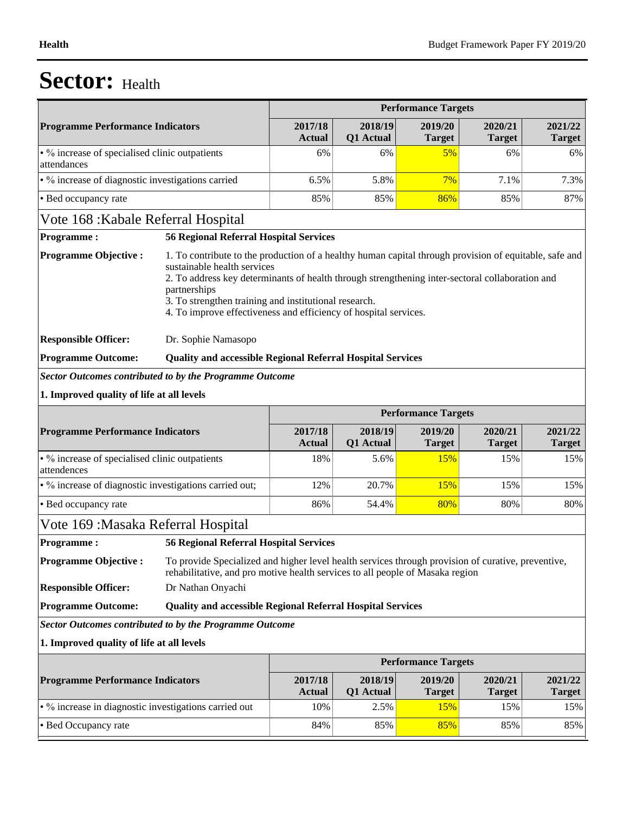|                                                                |                                                                                                                                                                                     |                                                                                                                                                                                                                                                                                                                                                                       | <b>Performance Targets</b> |                            |                          |                          |  |  |
|----------------------------------------------------------------|-------------------------------------------------------------------------------------------------------------------------------------------------------------------------------------|-----------------------------------------------------------------------------------------------------------------------------------------------------------------------------------------------------------------------------------------------------------------------------------------------------------------------------------------------------------------------|----------------------------|----------------------------|--------------------------|--------------------------|--|--|
| <b>Programme Performance Indicators</b>                        |                                                                                                                                                                                     | 2017/18<br><b>Actual</b>                                                                                                                                                                                                                                                                                                                                              | 2018/19<br>Q1 Actual       | 2019/20<br><b>Target</b>   | 2020/21<br><b>Target</b> | 2021/22<br><b>Target</b> |  |  |
| • % increase of specialised clinic outpatients<br>attendances  |                                                                                                                                                                                     | 6%                                                                                                                                                                                                                                                                                                                                                                    | 6%                         | 5%                         | 6%                       | 6%                       |  |  |
| · % increase of diagnostic investigations carried              |                                                                                                                                                                                     | 6.5%                                                                                                                                                                                                                                                                                                                                                                  | 5.8%                       | 7%                         | 7.1%                     | 7.3%                     |  |  |
| • Bed occupancy rate                                           |                                                                                                                                                                                     | 85%                                                                                                                                                                                                                                                                                                                                                                   | 85%                        | 86%                        | 85%                      | 87%                      |  |  |
| Vote 168 : Kabale Referral Hospital                            |                                                                                                                                                                                     |                                                                                                                                                                                                                                                                                                                                                                       |                            |                            |                          |                          |  |  |
| <b>Programme:</b>                                              | <b>56 Regional Referral Hospital Services</b>                                                                                                                                       |                                                                                                                                                                                                                                                                                                                                                                       |                            |                            |                          |                          |  |  |
| <b>Programme Objective:</b>                                    | partnerships                                                                                                                                                                        | 1. To contribute to the production of a healthy human capital through provision of equitable, safe and<br>sustainable health services<br>2. To address key determinants of health through strengthening inter-sectoral collaboration and<br>3. To strengthen training and institutional research.<br>4. To improve effectiveness and efficiency of hospital services. |                            |                            |                          |                          |  |  |
| <b>Responsible Officer:</b>                                    | Dr. Sophie Namasopo                                                                                                                                                                 |                                                                                                                                                                                                                                                                                                                                                                       |                            |                            |                          |                          |  |  |
| <b>Programme Outcome:</b>                                      | <b>Quality and accessible Regional Referral Hospital Services</b>                                                                                                                   |                                                                                                                                                                                                                                                                                                                                                                       |                            |                            |                          |                          |  |  |
| <b>Sector Outcomes contributed to by the Programme Outcome</b> |                                                                                                                                                                                     |                                                                                                                                                                                                                                                                                                                                                                       |                            |                            |                          |                          |  |  |
| 1. Improved quality of life at all levels                      |                                                                                                                                                                                     |                                                                                                                                                                                                                                                                                                                                                                       |                            |                            |                          |                          |  |  |
|                                                                |                                                                                                                                                                                     |                                                                                                                                                                                                                                                                                                                                                                       |                            | <b>Performance Targets</b> |                          |                          |  |  |
| <b>Programme Performance Indicators</b>                        |                                                                                                                                                                                     | 2017/18<br><b>Actual</b>                                                                                                                                                                                                                                                                                                                                              | 2018/19<br>Q1 Actual       | 2019/20<br><b>Target</b>   | 2020/21<br><b>Target</b> | 2021/22<br><b>Target</b> |  |  |
| • % increase of specialised clinic outpatients<br>attendences  |                                                                                                                                                                                     | 18%                                                                                                                                                                                                                                                                                                                                                                   | 5.6%                       | 15%                        | 15%                      | 15%                      |  |  |
| · % increase of diagnostic investigations carried out;         |                                                                                                                                                                                     | 12%                                                                                                                                                                                                                                                                                                                                                                   | 20.7%                      | 15%                        | 15%                      | 15%                      |  |  |
| • Bed occupancy rate                                           |                                                                                                                                                                                     | 86%                                                                                                                                                                                                                                                                                                                                                                   | 54.4%                      | 80%                        | 80%                      | 80%                      |  |  |
| Vote 169 : Masaka Referral Hospital                            |                                                                                                                                                                                     |                                                                                                                                                                                                                                                                                                                                                                       |                            |                            |                          |                          |  |  |
| <b>Programme:</b>                                              | <b>56 Regional Referral Hospital Services</b>                                                                                                                                       |                                                                                                                                                                                                                                                                                                                                                                       |                            |                            |                          |                          |  |  |
| <b>Programme Objective:</b>                                    | To provide Specialized and higher level health services through provision of curative, preventive,<br>rehabilitative, and pro motive health services to all people of Masaka region |                                                                                                                                                                                                                                                                                                                                                                       |                            |                            |                          |                          |  |  |
| <b>Responsible Officer:</b>                                    | Dr Nathan Onyachi                                                                                                                                                                   |                                                                                                                                                                                                                                                                                                                                                                       |                            |                            |                          |                          |  |  |
| <b>Programme Outcome:</b>                                      | <b>Quality and accessible Regional Referral Hospital Services</b>                                                                                                                   |                                                                                                                                                                                                                                                                                                                                                                       |                            |                            |                          |                          |  |  |
| <b>Sector Outcomes contributed to by the Programme Outcome</b> |                                                                                                                                                                                     |                                                                                                                                                                                                                                                                                                                                                                       |                            |                            |                          |                          |  |  |
| 1. Improved quality of life at all levels                      |                                                                                                                                                                                     |                                                                                                                                                                                                                                                                                                                                                                       |                            |                            |                          |                          |  |  |
|                                                                |                                                                                                                                                                                     |                                                                                                                                                                                                                                                                                                                                                                       |                            | <b>Performance Targets</b> |                          |                          |  |  |
| <b>Programme Performance Indicators</b>                        |                                                                                                                                                                                     | 2017/18<br><b>Actual</b>                                                                                                                                                                                                                                                                                                                                              | 2018/19<br>Q1 Actual       | 2019/20<br><b>Target</b>   | 2020/21<br><b>Target</b> | 2021/22<br><b>Target</b> |  |  |
| • % increase in diagnostic investigations carried out          |                                                                                                                                                                                     | 10%                                                                                                                                                                                                                                                                                                                                                                   | 2.5%                       | <b>15%</b>                 | 15%                      | 15%                      |  |  |
| • Bed Occupancy rate                                           |                                                                                                                                                                                     | 84%                                                                                                                                                                                                                                                                                                                                                                   | 85%                        | 85%                        | 85%                      | 85%                      |  |  |
|                                                                |                                                                                                                                                                                     |                                                                                                                                                                                                                                                                                                                                                                       |                            |                            |                          |                          |  |  |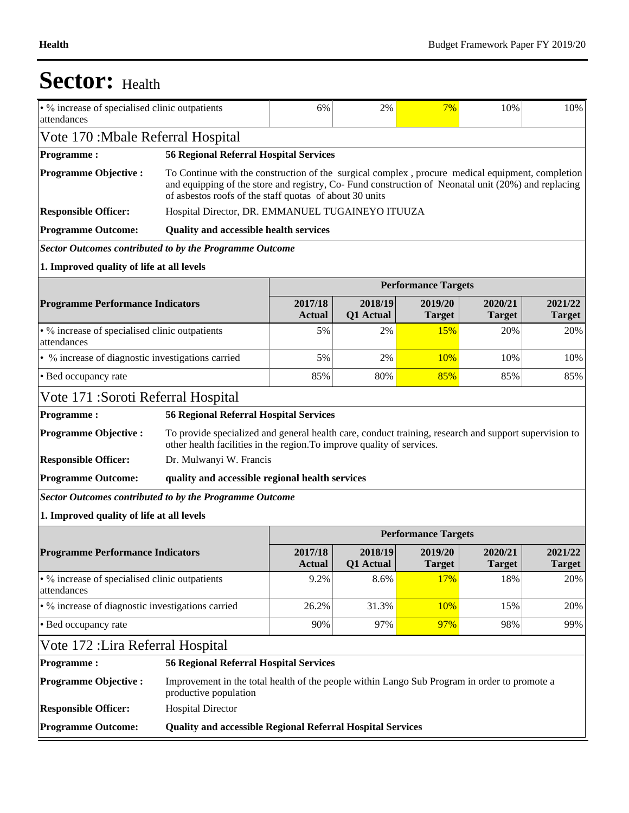| • % increase of specialised clinic outpatients<br>attendances |                                                                                                                                                                                                                                                                   | 6%                       | 2%                   | 7%                         | 10%                      | 10%                      |  |  |  |  |  |
|---------------------------------------------------------------|-------------------------------------------------------------------------------------------------------------------------------------------------------------------------------------------------------------------------------------------------------------------|--------------------------|----------------------|----------------------------|--------------------------|--------------------------|--|--|--|--|--|
| Vote 170: Mbale Referral Hospital                             |                                                                                                                                                                                                                                                                   |                          |                      |                            |                          |                          |  |  |  |  |  |
| <b>Programme:</b>                                             | <b>56 Regional Referral Hospital Services</b>                                                                                                                                                                                                                     |                          |                      |                            |                          |                          |  |  |  |  |  |
| <b>Programme Objective:</b>                                   | To Continue with the construction of the surgical complex, procure medical equipment, completion<br>and equipping of the store and registry, Co-Fund construction of Neonatal unit (20%) and replacing<br>of asbestos roofs of the staff quotas of about 30 units |                          |                      |                            |                          |                          |  |  |  |  |  |
| <b>Responsible Officer:</b>                                   | Hospital Director, DR. EMMANUEL TUGAINEYO ITUUZA                                                                                                                                                                                                                  |                          |                      |                            |                          |                          |  |  |  |  |  |
| <b>Programme Outcome:</b>                                     | <b>Quality and accessible health services</b>                                                                                                                                                                                                                     |                          |                      |                            |                          |                          |  |  |  |  |  |
| Sector Outcomes contributed to by the Programme Outcome       |                                                                                                                                                                                                                                                                   |                          |                      |                            |                          |                          |  |  |  |  |  |
| 1. Improved quality of life at all levels                     |                                                                                                                                                                                                                                                                   |                          |                      |                            |                          |                          |  |  |  |  |  |
|                                                               |                                                                                                                                                                                                                                                                   |                          |                      | <b>Performance Targets</b> |                          |                          |  |  |  |  |  |
| <b>Programme Performance Indicators</b>                       |                                                                                                                                                                                                                                                                   | 2017/18<br><b>Actual</b> | 2018/19<br>Q1 Actual | 2019/20<br><b>Target</b>   | 2020/21<br><b>Target</b> | 2021/22<br><b>Target</b> |  |  |  |  |  |
| • % increase of specialised clinic outpatients<br>attendances |                                                                                                                                                                                                                                                                   | 5%                       | 2%                   | 15%                        | 20%                      | 20%                      |  |  |  |  |  |
| • % increase of diagnostic investigations carried             |                                                                                                                                                                                                                                                                   | 5%                       | 2%                   | 10%                        | 10%                      | 10%                      |  |  |  |  |  |
| • Bed occupancy rate                                          |                                                                                                                                                                                                                                                                   | 85%                      | 80%                  | 85%                        | 85%                      | 85%                      |  |  |  |  |  |
|                                                               | Vote 171 : Soroti Referral Hospital                                                                                                                                                                                                                               |                          |                      |                            |                          |                          |  |  |  |  |  |
|                                                               | <b>56 Regional Referral Hospital Services</b>                                                                                                                                                                                                                     |                          |                      |                            |                          |                          |  |  |  |  |  |
| <b>Programme:</b>                                             |                                                                                                                                                                                                                                                                   |                          |                      |                            |                          |                          |  |  |  |  |  |
| <b>Programme Objective:</b>                                   | To provide specialized and general health care, conduct training, research and support supervision to<br>other health facilities in the region. To improve quality of services.                                                                                   |                          |                      |                            |                          |                          |  |  |  |  |  |
| <b>Responsible Officer:</b>                                   | Dr. Mulwanyi W. Francis                                                                                                                                                                                                                                           |                          |                      |                            |                          |                          |  |  |  |  |  |
| <b>Programme Outcome:</b>                                     | quality and accessible regional health services                                                                                                                                                                                                                   |                          |                      |                            |                          |                          |  |  |  |  |  |
| Sector Outcomes contributed to by the Programme Outcome       |                                                                                                                                                                                                                                                                   |                          |                      |                            |                          |                          |  |  |  |  |  |
| 1. Improved quality of life at all levels                     |                                                                                                                                                                                                                                                                   |                          |                      |                            |                          |                          |  |  |  |  |  |
|                                                               |                                                                                                                                                                                                                                                                   |                          |                      | <b>Performance Targets</b> |                          |                          |  |  |  |  |  |
| <b>Programme Performance Indicators</b>                       |                                                                                                                                                                                                                                                                   | 2017/18<br><b>Actual</b> | 2018/19<br>Q1 Actual | 2019/20<br><b>Target</b>   | 2020/21<br><b>Target</b> | 2021/22<br><b>Target</b> |  |  |  |  |  |
| • % increase of specialised clinic outpatients<br>attendances |                                                                                                                                                                                                                                                                   | 9.2%                     | 8.6%                 | 17%                        | 18%                      | 20%                      |  |  |  |  |  |
| • % increase of diagnostic investigations carried             |                                                                                                                                                                                                                                                                   | 26.2%                    | 31.3%                | 10%                        | 15%                      | 20%                      |  |  |  |  |  |
| • Bed occupancy rate                                          |                                                                                                                                                                                                                                                                   | 90%                      | 97%                  | 97%                        | 98%                      | 99%                      |  |  |  |  |  |
| Vote 172 : Lira Referral Hospital                             |                                                                                                                                                                                                                                                                   |                          |                      |                            |                          |                          |  |  |  |  |  |
| <b>Programme:</b>                                             | <b>56 Regional Referral Hospital Services</b>                                                                                                                                                                                                                     |                          |                      |                            |                          |                          |  |  |  |  |  |
| <b>Programme Objective:</b>                                   | Improvement in the total health of the people within Lango Sub Program in order to promote a<br>productive population                                                                                                                                             |                          |                      |                            |                          |                          |  |  |  |  |  |
| <b>Responsible Officer:</b>                                   | <b>Hospital Director</b>                                                                                                                                                                                                                                          |                          |                      |                            |                          |                          |  |  |  |  |  |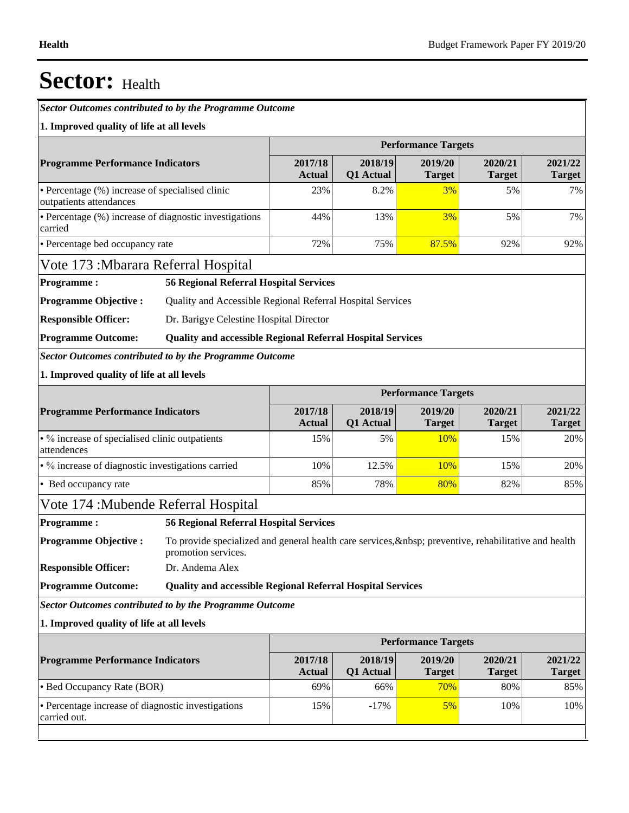*Sector Outcomes contributed to by the Programme Outcome*

#### **1. Improved quality of life at all levels**

|                                                                            |                                                                                                                         | <b>Performance Targets</b>                                 |                          |                            |                          |                          |  |  |  |
|----------------------------------------------------------------------------|-------------------------------------------------------------------------------------------------------------------------|------------------------------------------------------------|--------------------------|----------------------------|--------------------------|--------------------------|--|--|--|
| <b>Programme Performance Indicators</b>                                    |                                                                                                                         | 2017/18<br><b>Actual</b>                                   | 2018/19<br>Q1 Actual     | 2019/20<br><b>Target</b>   | 2020/21<br><b>Target</b> | 2021/22<br><b>Target</b> |  |  |  |
| • Percentage (%) increase of specialised clinic<br>outpatients attendances |                                                                                                                         | 23%                                                        | 8.2%                     | 3%                         | 5%                       | 7%                       |  |  |  |
| • Percentage (%) increase of diagnostic investigations<br>carried          |                                                                                                                         | 44%                                                        | 13%                      | 3%                         | 5%                       | 7%                       |  |  |  |
| • Percentage bed occupancy rate                                            |                                                                                                                         | 72%                                                        | 75%                      | 87.5%                      | 92%                      | 92%                      |  |  |  |
| Vote 173: Mbarara Referral Hospital                                        |                                                                                                                         |                                                            |                          |                            |                          |                          |  |  |  |
| <b>Programme:</b>                                                          | <b>56 Regional Referral Hospital Services</b>                                                                           |                                                            |                          |                            |                          |                          |  |  |  |
| <b>Programme Objective:</b>                                                |                                                                                                                         | Quality and Accessible Regional Referral Hospital Services |                          |                            |                          |                          |  |  |  |
| <b>Responsible Officer:</b>                                                | Dr. Barigye Celestine Hospital Director                                                                                 |                                                            |                          |                            |                          |                          |  |  |  |
| <b>Programme Outcome:</b>                                                  | <b>Quality and accessible Regional Referral Hospital Services</b>                                                       |                                                            |                          |                            |                          |                          |  |  |  |
| <b>Sector Outcomes contributed to by the Programme Outcome</b>             |                                                                                                                         |                                                            |                          |                            |                          |                          |  |  |  |
| 1. Improved quality of life at all levels                                  |                                                                                                                         |                                                            |                          |                            |                          |                          |  |  |  |
|                                                                            |                                                                                                                         |                                                            |                          | <b>Performance Targets</b> |                          |                          |  |  |  |
| <b>Programme Performance Indicators</b>                                    |                                                                                                                         | 2017/18<br><b>Actual</b>                                   | 2018/19<br>Q1 Actual     | 2019/20<br><b>Target</b>   | 2020/21<br><b>Target</b> | 2021/22<br><b>Target</b> |  |  |  |
| • % increase of specialised clinic outpatients<br>attendences              | 15%                                                                                                                     | 5%                                                         | 10%                      | 15%                        | 20%                      |                          |  |  |  |
| • % increase of diagnostic investigations carried                          |                                                                                                                         | 10%                                                        | 12.5%                    | 10%                        | 15%                      | 20%                      |  |  |  |
| • Bed occupancy rate                                                       |                                                                                                                         | 85%                                                        | 78%                      | 80%                        | 82%                      | 85%                      |  |  |  |
| Vote 174 : Mubende Referral Hospital                                       |                                                                                                                         |                                                            |                          |                            |                          |                          |  |  |  |
| <b>Programme:</b>                                                          | <b>56 Regional Referral Hospital Services</b>                                                                           |                                                            |                          |                            |                          |                          |  |  |  |
| <b>Programme Objective:</b>                                                | To provide specialized and general health care services,   preventive, rehabilitative and health<br>promotion services. |                                                            |                          |                            |                          |                          |  |  |  |
| <b>Responsible Officer:</b>                                                | Dr. Andema Alex                                                                                                         |                                                            |                          |                            |                          |                          |  |  |  |
| <b>Programme Outcome:</b>                                                  | <b>Quality and accessible Regional Referral Hospital Services</b>                                                       |                                                            |                          |                            |                          |                          |  |  |  |
| Sector Outcomes contributed to by the Programme Outcome                    |                                                                                                                         |                                                            |                          |                            |                          |                          |  |  |  |
| 1. Improved quality of life at all levels                                  |                                                                                                                         |                                                            |                          |                            |                          |                          |  |  |  |
|                                                                            |                                                                                                                         |                                                            |                          | <b>Performance Targets</b> |                          |                          |  |  |  |
| <b>Programme Performance Indicators</b>                                    | 2017/18<br><b>Actual</b>                                                                                                | 2018/19<br>Q1 Actual                                       | 2019/20<br><b>Target</b> | 2020/21<br><b>Target</b>   | 2021/22<br><b>Target</b> |                          |  |  |  |
| • Bed Occupancy Rate (BOR)                                                 |                                                                                                                         | 69%                                                        | 66%                      | 70%                        | 80%                      | 85%                      |  |  |  |
| • Percentage increase of diagnostic investigations                         | 15%                                                                                                                     | $-17%$                                                     | 5%                       | 10%                        | 10%                      |                          |  |  |  |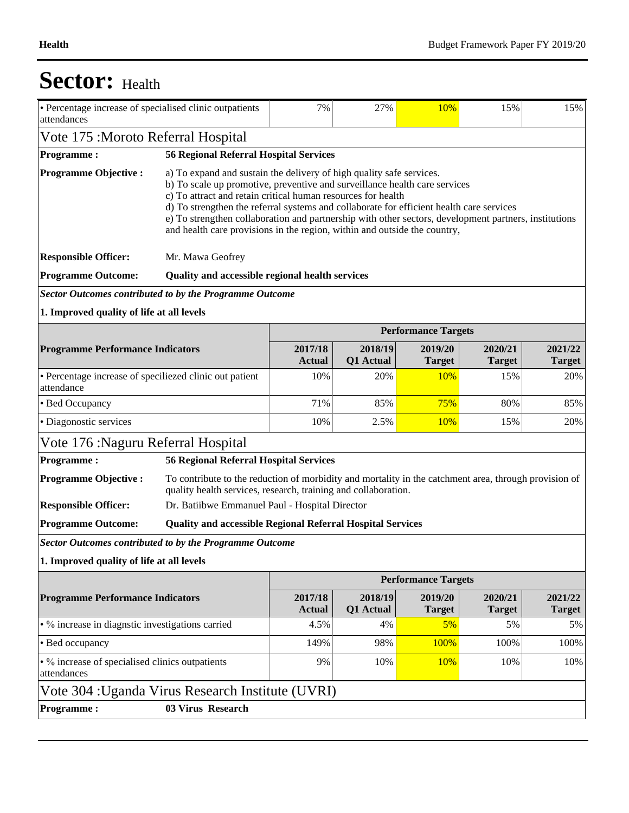| Vote 175 : Moroto Referral Hospital<br><b>Programme:</b><br><b>Programme Objective:</b> |                                                                                                                                                                                                                                                                                                                                                                                                                                                                                                      |                          |                                               |                            |                          |                          |  |  |  |  |  |  |  |
|-----------------------------------------------------------------------------------------|------------------------------------------------------------------------------------------------------------------------------------------------------------------------------------------------------------------------------------------------------------------------------------------------------------------------------------------------------------------------------------------------------------------------------------------------------------------------------------------------------|--------------------------|-----------------------------------------------|----------------------------|--------------------------|--------------------------|--|--|--|--|--|--|--|
|                                                                                         |                                                                                                                                                                                                                                                                                                                                                                                                                                                                                                      |                          |                                               |                            |                          |                          |  |  |  |  |  |  |  |
|                                                                                         |                                                                                                                                                                                                                                                                                                                                                                                                                                                                                                      |                          | <b>56 Regional Referral Hospital Services</b> |                            |                          |                          |  |  |  |  |  |  |  |
|                                                                                         | a) To expand and sustain the delivery of high quality safe services.<br>b) To scale up promotive, preventive and surveillance health care services<br>c) To attract and retain critical human resources for health<br>d) To strengthen the referral systems and collaborate for efficient health care services<br>e) To strengthen collaboration and partnership with other sectors, development partners, institutions<br>and health care provisions in the region, within and outside the country, |                          |                                               |                            |                          |                          |  |  |  |  |  |  |  |
| <b>Responsible Officer:</b>                                                             | Mr. Mawa Geofrey                                                                                                                                                                                                                                                                                                                                                                                                                                                                                     |                          |                                               |                            |                          |                          |  |  |  |  |  |  |  |
| <b>Programme Outcome:</b>                                                               | Quality and accessible regional health services                                                                                                                                                                                                                                                                                                                                                                                                                                                      |                          |                                               |                            |                          |                          |  |  |  |  |  |  |  |
| <b>Sector Outcomes contributed to by the Programme Outcome</b>                          |                                                                                                                                                                                                                                                                                                                                                                                                                                                                                                      |                          |                                               |                            |                          |                          |  |  |  |  |  |  |  |
| 1. Improved quality of life at all levels                                               |                                                                                                                                                                                                                                                                                                                                                                                                                                                                                                      |                          |                                               |                            |                          |                          |  |  |  |  |  |  |  |
|                                                                                         |                                                                                                                                                                                                                                                                                                                                                                                                                                                                                                      |                          |                                               | <b>Performance Targets</b> |                          |                          |  |  |  |  |  |  |  |
| <b>Programme Performance Indicators</b>                                                 |                                                                                                                                                                                                                                                                                                                                                                                                                                                                                                      | 2017/18<br><b>Actual</b> | 2018/19<br>Q1 Actual                          | 2019/20<br><b>Target</b>   | 2020/21<br><b>Target</b> | 2021/22<br><b>Target</b> |  |  |  |  |  |  |  |
| • Percentage increase of speciliezed clinic out patient<br>attendance                   |                                                                                                                                                                                                                                                                                                                                                                                                                                                                                                      | 10%                      | 20%                                           | 10%                        | 15%                      | 20%                      |  |  |  |  |  |  |  |
| • Bed Occupancy                                                                         |                                                                                                                                                                                                                                                                                                                                                                                                                                                                                                      | 71%                      | 85%                                           | 75%                        | 80%                      | 85%                      |  |  |  |  |  |  |  |
| • Diagonostic services                                                                  | 10%                                                                                                                                                                                                                                                                                                                                                                                                                                                                                                  | 2.5%                     | 10%                                           | 15%                        | 20%                      |                          |  |  |  |  |  |  |  |
| Vote 176 : Naguru Referral Hospital                                                     |                                                                                                                                                                                                                                                                                                                                                                                                                                                                                                      |                          |                                               |                            |                          |                          |  |  |  |  |  |  |  |
| <b>Programme:</b>                                                                       | <b>56 Regional Referral Hospital Services</b>                                                                                                                                                                                                                                                                                                                                                                                                                                                        |                          |                                               |                            |                          |                          |  |  |  |  |  |  |  |
| <b>Programme Objective:</b>                                                             | To contribute to the reduction of morbidity and mortality in the catchment area, through provision of<br>quality health services, research, training and collaboration.                                                                                                                                                                                                                                                                                                                              |                          |                                               |                            |                          |                          |  |  |  |  |  |  |  |
| <b>Responsible Officer:</b>                                                             | Dr. Batiibwe Emmanuel Paul - Hospital Director                                                                                                                                                                                                                                                                                                                                                                                                                                                       |                          |                                               |                            |                          |                          |  |  |  |  |  |  |  |
| <b>Programme Outcome:</b>                                                               | <b>Quality and accessible Regional Referral Hospital Services</b>                                                                                                                                                                                                                                                                                                                                                                                                                                    |                          |                                               |                            |                          |                          |  |  |  |  |  |  |  |
| <b>Sector Outcomes contributed to by the Programme Outcome</b>                          |                                                                                                                                                                                                                                                                                                                                                                                                                                                                                                      |                          |                                               |                            |                          |                          |  |  |  |  |  |  |  |
| 1. Improved quality of life at all levels                                               |                                                                                                                                                                                                                                                                                                                                                                                                                                                                                                      |                          |                                               |                            |                          |                          |  |  |  |  |  |  |  |
|                                                                                         |                                                                                                                                                                                                                                                                                                                                                                                                                                                                                                      |                          |                                               | <b>Performance Targets</b> |                          |                          |  |  |  |  |  |  |  |
| <b>Programme Performance Indicators</b>                                                 |                                                                                                                                                                                                                                                                                                                                                                                                                                                                                                      | 2017/18<br><b>Actual</b> | 2018/19<br>Q1 Actual                          | 2019/20<br><b>Target</b>   | 2020/21<br><b>Target</b> | 2021/22<br><b>Target</b> |  |  |  |  |  |  |  |
| • % increase in diagnstic investigations carried                                        |                                                                                                                                                                                                                                                                                                                                                                                                                                                                                                      | 4.5%                     | 4%                                            | 5%                         | 5%                       | 5%                       |  |  |  |  |  |  |  |
| • Bed occupancy                                                                         |                                                                                                                                                                                                                                                                                                                                                                                                                                                                                                      | 149%                     | 98%                                           | 100%                       | 100%                     | 100%                     |  |  |  |  |  |  |  |
| • % increase of specialised clinics outpatients<br>attendances                          | 9%                                                                                                                                                                                                                                                                                                                                                                                                                                                                                                   | 10%                      | 10%                                           | 10%                        | 10%                      |                          |  |  |  |  |  |  |  |
| Vote 304 : Uganda Virus Research Institute (UVRI)                                       |                                                                                                                                                                                                                                                                                                                                                                                                                                                                                                      |                          |                                               |                            |                          |                          |  |  |  |  |  |  |  |
| <b>Programme:</b>                                                                       | 03 Virus Research                                                                                                                                                                                                                                                                                                                                                                                                                                                                                    |                          |                                               |                            |                          |                          |  |  |  |  |  |  |  |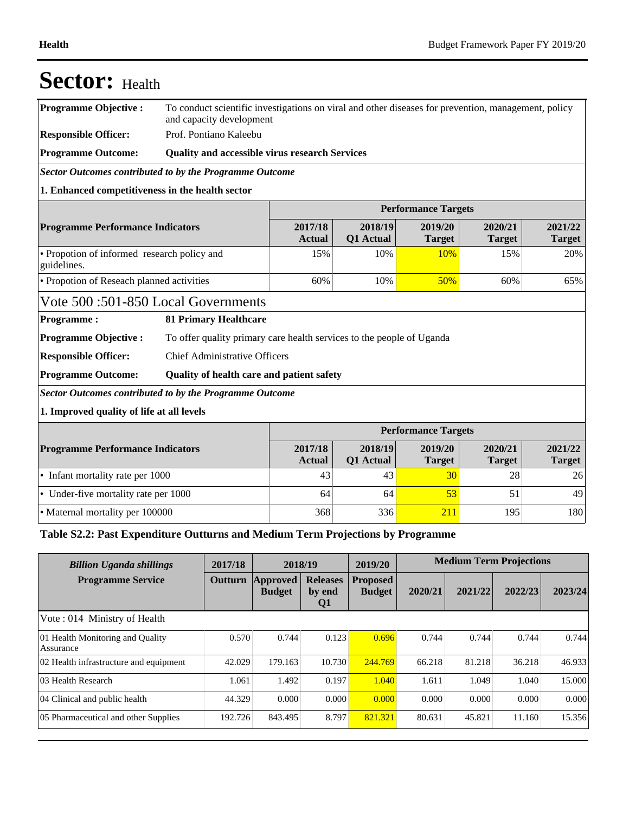| <b>Sector:</b> Health                                          |                                                                                                                                 |                          |                          |                            |                          |                          |  |  |  |  |
|----------------------------------------------------------------|---------------------------------------------------------------------------------------------------------------------------------|--------------------------|--------------------------|----------------------------|--------------------------|--------------------------|--|--|--|--|
| <b>Programme Objective:</b>                                    | To conduct scientific investigations on viral and other diseases for prevention, management, policy<br>and capacity development |                          |                          |                            |                          |                          |  |  |  |  |
| <b>Responsible Officer:</b>                                    | Prof. Pontiano Kaleebu                                                                                                          |                          |                          |                            |                          |                          |  |  |  |  |
| <b>Programme Outcome:</b>                                      | <b>Quality and accessible virus research Services</b>                                                                           |                          |                          |                            |                          |                          |  |  |  |  |
| Sector Outcomes contributed to by the Programme Outcome        |                                                                                                                                 |                          |                          |                            |                          |                          |  |  |  |  |
| 1. Enhanced competitiveness in the health sector               |                                                                                                                                 |                          |                          |                            |                          |                          |  |  |  |  |
|                                                                |                                                                                                                                 |                          |                          | <b>Performance Targets</b> |                          |                          |  |  |  |  |
| <b>Programme Performance Indicators</b>                        |                                                                                                                                 | 2017/18<br><b>Actual</b> | 2018/19<br>Q1 Actual     | 2019/20<br><b>Target</b>   | 2020/21<br><b>Target</b> | 2021/22<br><b>Target</b> |  |  |  |  |
| • Propotion of informed research policy and<br>guidelines.     |                                                                                                                                 | 15%                      | 10%                      | 10%                        | 15%                      | 20%                      |  |  |  |  |
| • Propotion of Reseach planned activities                      | 60%                                                                                                                             | 10%                      | 50%                      | 60%                        | 65%                      |                          |  |  |  |  |
| Vote 500:501-850 Local Governments                             |                                                                                                                                 |                          |                          |                            |                          |                          |  |  |  |  |
| <b>Programme:</b>                                              | <b>81 Primary Healthcare</b>                                                                                                    |                          |                          |                            |                          |                          |  |  |  |  |
| <b>Programme Objective:</b>                                    | To offer quality primary care health services to the people of Uganda                                                           |                          |                          |                            |                          |                          |  |  |  |  |
| <b>Responsible Officer:</b>                                    | <b>Chief Administrative Officers</b>                                                                                            |                          |                          |                            |                          |                          |  |  |  |  |
| <b>Programme Outcome:</b>                                      | Quality of health care and patient safety                                                                                       |                          |                          |                            |                          |                          |  |  |  |  |
| <b>Sector Outcomes contributed to by the Programme Outcome</b> |                                                                                                                                 |                          |                          |                            |                          |                          |  |  |  |  |
| 1. Improved quality of life at all levels                      |                                                                                                                                 |                          |                          |                            |                          |                          |  |  |  |  |
|                                                                |                                                                                                                                 |                          |                          | <b>Performance Targets</b> |                          |                          |  |  |  |  |
| <b>Programme Performance Indicators</b>                        | 2017/18<br><b>Actual</b>                                                                                                        | 2018/19<br>Q1 Actual     | 2019/20<br><b>Target</b> | 2020/21<br><b>Target</b>   | 2021/22<br><b>Target</b> |                          |  |  |  |  |
| • Infant mortality rate per 1000                               |                                                                                                                                 | 43                       | 43                       | 30                         | 28                       | 26                       |  |  |  |  |
| • Under-five mortality rate per 1000                           |                                                                                                                                 | 64                       | 64                       | 53                         | 51                       | 49                       |  |  |  |  |
| • Maternal mortality per 100000                                |                                                                                                                                 | 368                      | 336                      | 211                        | 195                      | 180                      |  |  |  |  |

### **Table S2.2: Past Expenditure Outturns and Medium Term Projections by Programme**

| <b>Billion Uganda shillings</b>               | 2017/18 | 2018/19                   |                                 | 2019/20                          | <b>Medium Term Projections</b> |         |         |         |
|-----------------------------------------------|---------|---------------------------|---------------------------------|----------------------------------|--------------------------------|---------|---------|---------|
| <b>Programme Service</b>                      | Outturn | Approved<br><b>Budget</b> | <b>Releases</b><br>by end<br>Q1 | <b>Proposed</b><br><b>Budget</b> | 2020/21                        | 2021/22 | 2022/23 | 2023/24 |
| Vote: 014 Ministry of Health                  |         |                           |                                 |                                  |                                |         |         |         |
| 01 Health Monitoring and Quality<br>Assurance | 0.570   | 0.744                     | 0.123                           | 0.696                            | 0.744                          | 0.744   | 0.744   | 0.744   |
| 02 Health infrastructure and equipment        | 42.029  | 179.163                   | 10.730                          | 244.769                          | 66.218                         | 81.218  | 36.218  | 46.933  |
| 103 Health Research                           | 1.061   | 1.492                     | 0.197                           | 1.040                            | 1.611                          | 1.049   | 1.040   | 15.000  |
| 04 Clinical and public health                 | 44.329  | 0.000                     | 0.000                           | 0.000                            | 0.000                          | 0.000   | 0.000   | 0.000   |
| 05 Pharmaceutical and other Supplies          | 192.726 | 843.495                   | 8.797                           | 821.321                          | 80.631                         | 45.821  | 11.160  | 15.356  |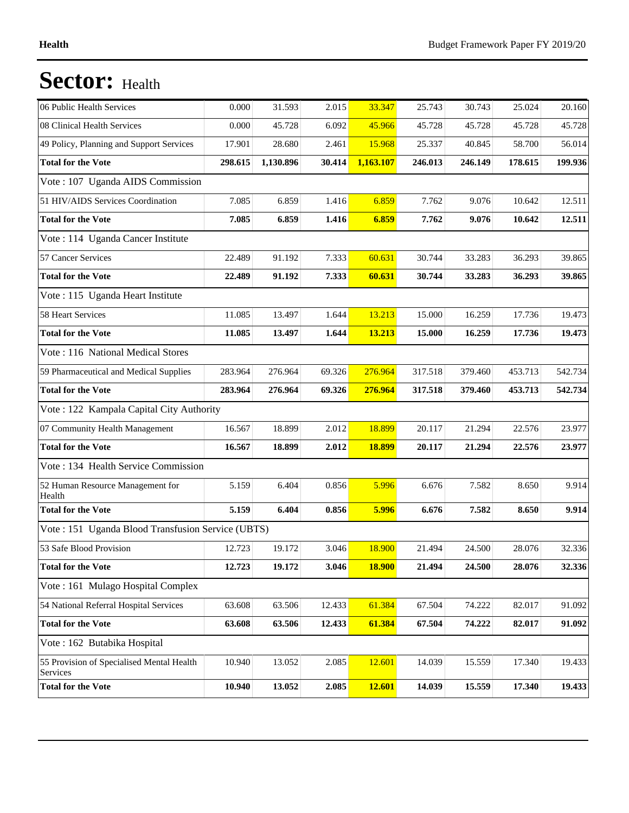| 06 Public Health Services                             | 0.000   | 31.593    | 2.015  | 33.347        | 25.743  | 30.743  | 25.024  | 20.160  |
|-------------------------------------------------------|---------|-----------|--------|---------------|---------|---------|---------|---------|
| 08 Clinical Health Services                           | 0.000   | 45.728    | 6.092  | 45.966        | 45.728  | 45.728  | 45.728  | 45.728  |
| 49 Policy, Planning and Support Services              | 17.901  | 28.680    | 2.461  | 15.968        | 25.337  | 40.845  | 58.700  | 56.014  |
| <b>Total for the Vote</b>                             | 298.615 | 1,130.896 | 30.414 | 1,163.107     | 246.013 | 246.149 | 178.615 | 199.936 |
| Vote: 107 Uganda AIDS Commission                      |         |           |        |               |         |         |         |         |
| 51 HIV/AIDS Services Coordination                     | 7.085   | 6.859     | 1.416  | 6.859         | 7.762   | 9.076   | 10.642  | 12.511  |
| <b>Total for the Vote</b>                             | 7.085   | 6.859     | 1.416  | 6.859         | 7.762   | 9.076   | 10.642  | 12.511  |
| Vote : 114 Uganda Cancer Institute                    |         |           |        |               |         |         |         |         |
| 57 Cancer Services                                    | 22.489  | 91.192    | 7.333  | 60.631        | 30.744  | 33.283  | 36.293  | 39.865  |
| <b>Total for the Vote</b>                             | 22.489  | 91.192    | 7.333  | 60.631        | 30.744  | 33.283  | 36.293  | 39.865  |
| Vote: 115 Uganda Heart Institute                      |         |           |        |               |         |         |         |         |
| 58 Heart Services                                     | 11.085  | 13.497    | 1.644  | 13.213        | 15.000  | 16.259  | 17.736  | 19.473  |
| <b>Total for the Vote</b>                             | 11.085  | 13.497    | 1.644  | 13.213        | 15.000  | 16.259  | 17.736  | 19.473  |
| Vote: 116 National Medical Stores                     |         |           |        |               |         |         |         |         |
| 59 Pharmaceutical and Medical Supplies                | 283.964 | 276.964   | 69.326 | 276.964       | 317.518 | 379.460 | 453.713 | 542.734 |
| <b>Total for the Vote</b>                             | 283.964 | 276.964   | 69.326 | 276.964       | 317.518 | 379.460 | 453.713 | 542.734 |
| Vote: 122 Kampala Capital City Authority              |         |           |        |               |         |         |         |         |
| 07 Community Health Management                        | 16.567  | 18.899    | 2.012  | 18.899        | 20.117  | 21.294  | 22.576  | 23.977  |
| <b>Total for the Vote</b>                             | 16.567  | 18.899    | 2.012  | 18.899        | 20.117  | 21.294  | 22.576  | 23.977  |
| Vote: 134 Health Service Commission                   |         |           |        |               |         |         |         |         |
| 52 Human Resource Management for<br>Health            | 5.159   | 6.404     | 0.856  | 5.996         | 6.676   | 7.582   | 8.650   | 9.914   |
| <b>Total for the Vote</b>                             | 5.159   | 6.404     | 0.856  | 5.996         | 6.676   | 7.582   | 8.650   | 9.914   |
| Vote: 151 Uganda Blood Transfusion Service (UBTS)     |         |           |        |               |         |         |         |         |
| 53 Safe Blood Provision                               | 12.723  | 19.172    | 3.046  | 18.900        | 21.494  | 24.500  | 28.076  | 32.336  |
| <b>Total for the Vote</b>                             | 12.723  | 19.172    | 3.046  | <b>18.900</b> | 21.494  | 24.500  | 28.076  | 32.336  |
| Vote: 161 Mulago Hospital Complex                     |         |           |        |               |         |         |         |         |
| 54 National Referral Hospital Services                | 63.608  | 63.506    | 12.433 | 61.384        | 67.504  | 74.222  | 82.017  | 91.092  |
| <b>Total for the Vote</b>                             | 63.608  | 63.506    | 12.433 | 61.384        | 67.504  | 74.222  | 82.017  | 91.092  |
| Vote: 162 Butabika Hospital                           |         |           |        |               |         |         |         |         |
| 55 Provision of Specialised Mental Health<br>Services | 10.940  | 13.052    | 2.085  | 12.601        | 14.039  | 15.559  | 17.340  | 19.433  |
| <b>Total for the Vote</b>                             | 10.940  | 13.052    | 2.085  | 12.601        | 14.039  | 15.559  | 17.340  | 19.433  |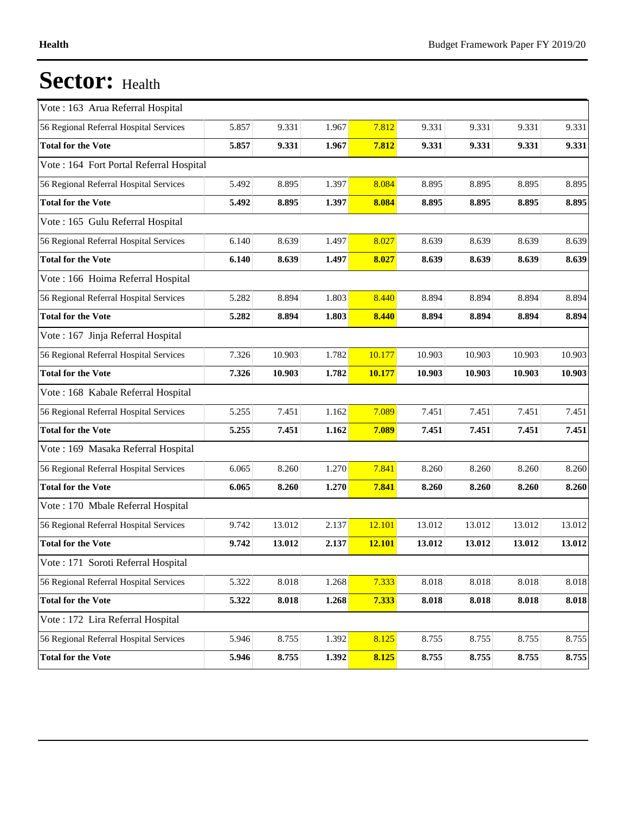| Vote: 163 Arua Referral Hospital         |       |        |       |               |        |        |        |        |
|------------------------------------------|-------|--------|-------|---------------|--------|--------|--------|--------|
| 56 Regional Referral Hospital Services   | 5.857 | 9.331  | 1.967 | 7.812         | 9.331  | 9.331  | 9.331  | 9.331  |
| <b>Total for the Vote</b>                | 5.857 | 9.331  | 1.967 | 7.812         | 9.331  | 9.331  | 9.331  | 9.331  |
| Vote : 164 Fort Portal Referral Hospital |       |        |       |               |        |        |        |        |
| 56 Regional Referral Hospital Services   | 5.492 | 8.895  | 1.397 | 8.084         | 8.895  | 8.895  | 8.895  | 8.895  |
| <b>Total for the Vote</b>                | 5.492 | 8.895  | 1.397 | 8.084         | 8.895  | 8.895  | 8.895  | 8.895  |
| Vote: 165 Gulu Referral Hospital         |       |        |       |               |        |        |        |        |
| 56 Regional Referral Hospital Services   | 6.140 | 8.639  | 1.497 | 8.027         | 8.639  | 8.639  | 8.639  | 8.639  |
| <b>Total for the Vote</b>                | 6.140 | 8.639  | 1.497 | 8.027         | 8.639  | 8.639  | 8.639  | 8.639  |
| Vote: 166 Hoima Referral Hospital        |       |        |       |               |        |        |        |        |
| 56 Regional Referral Hospital Services   | 5.282 | 8.894  | 1.803 | 8.440         | 8.894  | 8.894  | 8.894  | 8.894  |
| <b>Total for the Vote</b>                | 5.282 | 8.894  | 1.803 | 8.440         | 8.894  | 8.894  | 8.894  | 8.894  |
| Vote: 167 Jinja Referral Hospital        |       |        |       |               |        |        |        |        |
| 56 Regional Referral Hospital Services   | 7.326 | 10.903 | 1.782 | 10.177        | 10.903 | 10.903 | 10.903 | 10.903 |
| <b>Total for the Vote</b>                | 7.326 | 10.903 | 1.782 | 10.177        | 10.903 | 10.903 | 10.903 | 10.903 |
| Vote: 168 Kabale Referral Hospital       |       |        |       |               |        |        |        |        |
| 56 Regional Referral Hospital Services   | 5.255 | 7.451  | 1.162 | 7.089         | 7.451  | 7.451  | 7.451  | 7.451  |
| <b>Total for the Vote</b>                | 5.255 | 7.451  | 1.162 | 7.089         | 7.451  | 7.451  | 7.451  | 7.451  |
| Vote: 169 Masaka Referral Hospital       |       |        |       |               |        |        |        |        |
| 56 Regional Referral Hospital Services   | 6.065 | 8.260  | 1.270 | 7.841         | 8.260  | 8.260  | 8.260  | 8.260  |
| <b>Total for the Vote</b>                | 6.065 | 8.260  | 1.270 | 7.841         | 8.260  | 8.260  | 8.260  | 8.260  |
| Vote: 170 Mbale Referral Hospital        |       |        |       |               |        |        |        |        |
| 56 Regional Referral Hospital Services   | 9.742 | 13.012 | 2.137 | 12.101        | 13.012 | 13.012 | 13.012 | 13.012 |
| <b>Total for the Vote</b>                | 9.742 | 13.012 | 2.137 | <b>12.101</b> | 13.012 | 13.012 | 13.012 | 13.012 |
| Vote: 171 Soroti Referral Hospital       |       |        |       |               |        |        |        |        |
| 56 Regional Referral Hospital Services   | 5.322 | 8.018  | 1.268 | 7.333         | 8.018  | 8.018  | 8.018  | 8.018  |
| <b>Total for the Vote</b>                | 5.322 | 8.018  | 1.268 | 7.333         | 8.018  | 8.018  | 8.018  | 8.018  |
| Vote : 172 Lira Referral Hospital        |       |        |       |               |        |        |        |        |
| 56 Regional Referral Hospital Services   | 5.946 | 8.755  | 1.392 | 8.125         | 8.755  | 8.755  | 8.755  | 8.755  |
| <b>Total for the Vote</b>                |       |        |       |               |        |        |        |        |